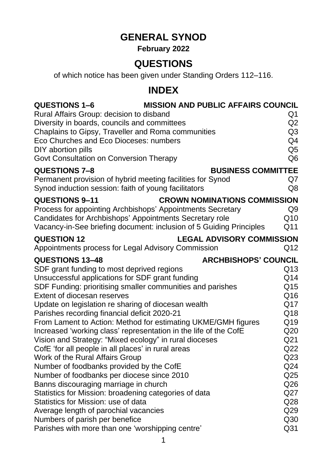# **GENERAL SYNOD**

## **February 2022**

## **QUESTIONS**

of which notice has been given under Standing Orders 112–116.

## **INDEX**

| <b>QUESTIONS 1-6</b><br>Rural Affairs Group: decision to disband<br>Diversity in boards, councils and committees                                              | <b>MISSION AND PUBLIC AFFAIRS COUNCIL</b> | Q1<br>Q <sub>2</sub>             |  |  |
|---------------------------------------------------------------------------------------------------------------------------------------------------------------|-------------------------------------------|----------------------------------|--|--|
| Chaplains to Gipsy, Traveller and Roma communities<br>Eco Churches and Eco Dioceses: numbers<br>DIY abortion pills<br>Govt Consultation on Conversion Therapy |                                           | Q3<br>Q4<br>Q5<br>Q <sub>6</sub> |  |  |
| QUESTIONS 7-8                                                                                                                                                 | <b>BUSINESS COMMITTEE</b>                 |                                  |  |  |
| Permanent provision of hybrid meeting facilities for Synod                                                                                                    |                                           | Q7                               |  |  |
| Synod induction session: faith of young facilitators                                                                                                          |                                           | Q8                               |  |  |
| <b>QUESTIONS 9-11</b>                                                                                                                                         | <b>CROWN NOMINATIONS COMMISSION</b>       |                                  |  |  |
| Process for appointing Archbishops' Appointments Secretary                                                                                                    |                                           | Q <sub>9</sub>                   |  |  |
| Candidates for Archbishops' Appointments Secretary role                                                                                                       |                                           | Q10                              |  |  |
| Vacancy-in-See briefing document: inclusion of 5 Guiding Principles                                                                                           |                                           | Q11                              |  |  |
| <b>LEGAL ADVISORY COMMISSION</b><br><b>QUESTION 12</b>                                                                                                        |                                           |                                  |  |  |
| Appointments process for Legal Advisory Commission                                                                                                            |                                           | Q12                              |  |  |
| <b>QUESTIONS 13-48</b>                                                                                                                                        | <b>ARCHBISHOPS' COUNCIL</b>               |                                  |  |  |
| SDF grant funding to most deprived regions                                                                                                                    |                                           | Q13                              |  |  |
| Unsuccessful applications for SDF grant funding                                                                                                               |                                           | Q14                              |  |  |
| SDF Funding: prioritising smaller communities and parishes                                                                                                    |                                           | Q15                              |  |  |
| <b>Extent of diocesan reserves</b>                                                                                                                            |                                           | Q16                              |  |  |
| Update on legislation re sharing of diocesan wealth                                                                                                           |                                           | Q17                              |  |  |
| Parishes recording financial deficit 2020-21                                                                                                                  |                                           | Q18                              |  |  |
| From Lament to Action: Method for estimating UKME/GMH figures                                                                                                 |                                           | Q19                              |  |  |
| Increased 'working class' representation in the life of the CofE                                                                                              |                                           | Q <sub>20</sub>                  |  |  |
| Vision and Strategy: "Mixed ecology" in rural dioceses                                                                                                        |                                           | Q <sub>21</sub>                  |  |  |
| CofE 'for all people in all places' in rural areas                                                                                                            |                                           | Q22                              |  |  |
| Work of the Rural Affairs Group                                                                                                                               |                                           | Q <sub>23</sub>                  |  |  |
| Number of foodbanks provided by the CofE                                                                                                                      |                                           | Q24<br>Q <sub>25</sub>           |  |  |
| Number of foodbanks per diocese since 2010<br>Banns discouraging marriage in church                                                                           |                                           | Q <sub>26</sub>                  |  |  |
| Statistics for Mission: broadening categories of data                                                                                                         |                                           | Q27                              |  |  |
| Statistics for Mission: use of data                                                                                                                           |                                           | Q <sub>28</sub>                  |  |  |
| Average length of parochial vacancies                                                                                                                         |                                           | Q <sub>29</sub>                  |  |  |
| Numbers of parish per benefice                                                                                                                                |                                           | Q30                              |  |  |
| Parishes with more than one 'worshipping centre'                                                                                                              |                                           | Q <sub>31</sub>                  |  |  |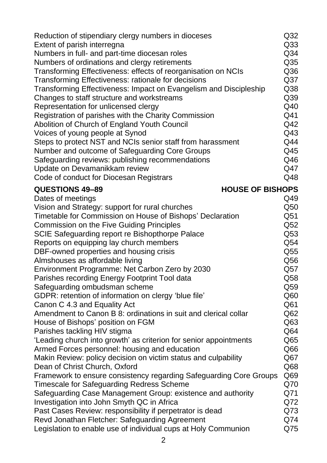| Reduction of stipendiary clergy numbers in dioceses                                                                    | Q <sub>32</sub>                    |
|------------------------------------------------------------------------------------------------------------------------|------------------------------------|
| Extent of parish interregna                                                                                            | Q <sub>33</sub><br>Q <sub>34</sub> |
| Numbers in full- and part-time diocesan roles<br>Numbers of ordinations and clergy retirements                         | Q <sub>35</sub>                    |
| Transforming Effectiveness: effects of reorganisation on NCIs                                                          | Q36                                |
| Transforming Effectiveness: rationale for decisions                                                                    | Q <sub>37</sub>                    |
| Transforming Effectiveness: Impact on Evangelism and Discipleship                                                      | Q <sub>38</sub>                    |
| Changes to staff structure and workstreams                                                                             | Q39                                |
| Representation for unlicensed clergy                                                                                   | Q40                                |
| Registration of parishes with the Charity Commission                                                                   | Q41                                |
| Abolition of Church of England Youth Council                                                                           | Q42                                |
| Voices of young people at Synod                                                                                        | Q43                                |
| Steps to protect NST and NCIs senior staff from harassment                                                             | Q44                                |
| Number and outcome of Safeguarding Core Groups                                                                         | Q45                                |
| Safeguarding reviews: publishing recommendations                                                                       | Q46                                |
| Update on Devamanikkam review                                                                                          | Q47                                |
| Code of conduct for Diocesan Registrars                                                                                | Q48                                |
| <b>HOUSE OF BISHOPS</b><br><b>QUESTIONS 49-89</b>                                                                      |                                    |
| Dates of meetings                                                                                                      | Q49                                |
| Vision and Strategy: support for rural churches                                                                        | Q50                                |
| Timetable for Commission on House of Bishops' Declaration                                                              | Q51                                |
| <b>Commission on the Five Guiding Principles</b>                                                                       | Q52                                |
| SCIE Safeguarding report re Bishopthorpe Palace                                                                        | Q53                                |
| Reports on equipping lay church members                                                                                | Q54                                |
| DBF-owned properties and housing crisis                                                                                | Q55                                |
| Almshouses as affordable living                                                                                        | Q56                                |
| Environment Programme: Net Carbon Zero by 2030                                                                         | Q57                                |
| Parishes recording Energy Footprint Tool data                                                                          | Q58                                |
| Safeguarding ombudsman scheme                                                                                          | Q59                                |
| GDPR: retention of information on clergy 'blue file'                                                                   | Q <sub>60</sub>                    |
| Canon C 4.3 and Equality Act                                                                                           | Q61                                |
| Amendment to Canon B 8: ordinations in suit and clerical collar                                                        | Q62                                |
| House of Bishops' position on FGM                                                                                      | Q <sub>63</sub>                    |
| Parishes tackling HIV stigma                                                                                           | Q64                                |
| 'Leading church into growth' as criterion for senior appointments                                                      | Q65                                |
| Armed Forces personnel: housing and education                                                                          | Q66                                |
| Makin Review: policy decision on victim status and culpability                                                         | Q67                                |
| Dean of Christ Church, Oxford                                                                                          | Q <sub>68</sub><br>Q <sub>69</sub> |
| Framework to ensure consistency regarding Safeguarding Core Groups<br><b>Timescale for Safeguarding Redress Scheme</b> | Q70                                |
| Safeguarding Case Management Group: existence and authority                                                            | Q71                                |
| Investigation into John Smyth QC in Africa                                                                             | Q72                                |
| Past Cases Review: responsibility if perpetrator is dead                                                               | Q73                                |
| Revd Jonathan Fletcher: Safeguarding Agreement                                                                         | Q74                                |
| Legislation to enable use of individual cups at Holy Communion                                                         | Q75                                |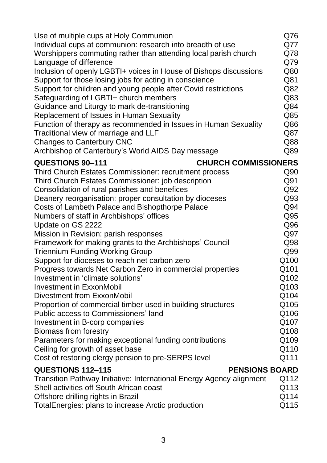| Use of multiple cups at Holy Communion                               | Q76  |
|----------------------------------------------------------------------|------|
| Individual cups at communion: research into breadth of use           | Q77  |
| Worshippers commuting rather than attending local parish church      | Q78  |
| Language of difference                                               | Q79  |
| Inclusion of openly LGBTI+ voices in House of Bishops discussions    | Q80  |
| Support for those losing jobs for acting in conscience               | Q81  |
| Support for children and young people after Covid restrictions       | Q82  |
| Safeguarding of LGBTI+ church members                                | Q83  |
| Guidance and Liturgy to mark de-transitioning                        | Q84  |
| Replacement of Issues in Human Sexuality                             | Q85  |
| Function of therapy as recommended in Issues in Human Sexuality      | Q86  |
| Traditional view of marriage and LLF                                 | Q87  |
| <b>Changes to Canterbury CNC</b>                                     | Q88  |
| Archbishop of Canterbury's World AIDS Day message                    | Q89  |
| <b>CHURCH COMMISSIONERS</b><br><b>QUESTIONS 90-111</b>               |      |
| <b>Third Church Estates Commissioner: recruitment process</b>        | Q90  |
| Third Church Estates Commissioner: job description                   | Q91  |
| Consolidation of rural parishes and benefices                        | Q92  |
| Deanery reorganisation: proper consultation by dioceses              | Q93  |
| Costs of Lambeth Palace and Bishopthorpe Palace                      | Q94  |
| Numbers of staff in Archbishops' offices                             | Q95  |
| Update on GS 2222                                                    | Q96  |
| Mission in Revision: parish responses                                | Q97  |
| Framework for making grants to the Archbishops' Council              | Q98  |
| <b>Triennium Funding Working Group</b>                               | Q99  |
| Support for dioceses to reach net carbon zero                        | Q100 |
| Progress towards Net Carbon Zero in commercial properties            | Q101 |
| Investment in 'climate solutions'                                    | Q102 |
| <b>Investment in ExxonMobil</b>                                      | Q103 |
| Divestment from ExxonMobil                                           | Q104 |
| Proportion of commercial timber used in building structures          | Q105 |
| Public access to Commissioners' land                                 | Q106 |
| Investment in B-corp companies                                       | Q107 |
| Biomass from forestry                                                | Q108 |
| Parameters for making exceptional funding contributions              | Q109 |
| Ceiling for growth of asset base                                     | Q110 |
| Cost of restoring clergy pension to pre-SERPS level                  | Q111 |
| <b>QUESTIONS 112-115</b><br><b>PENSIONS BOARD</b>                    |      |
| Transition Pathway Initiative: International Energy Agency alignment | Q112 |
| Shell activities off South African coast                             | Q113 |
| Offshore drilling rights in Brazil                                   | Q114 |
| TotalEnergies: plans to increase Arctic production                   | Q115 |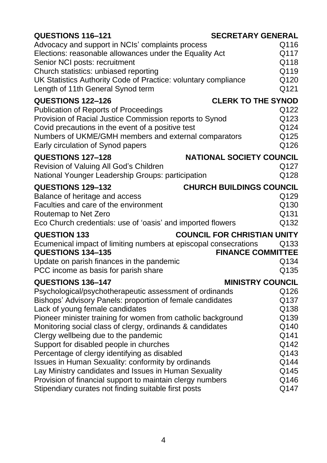| <b>QUESTIONS 116-121</b>                                                                                    | <b>SECRETARY GENERAL</b>           |
|-------------------------------------------------------------------------------------------------------------|------------------------------------|
| Advocacy and support in NCIs' complaints process<br>Elections: reasonable allowances under the Equality Act | Q116<br>Q117                       |
| Senior NCI posts: recruitment                                                                               | Q118                               |
| Church statistics: unbiased reporting                                                                       | Q119                               |
| UK Statistics Authority Code of Practice: voluntary compliance                                              | Q120                               |
| Length of 11th General Synod term                                                                           | Q121                               |
| <b>QUESTIONS 122-126</b>                                                                                    | <b>CLERK TO THE SYNOD</b>          |
| <b>Publication of Reports of Proceedings</b>                                                                | Q122                               |
| Provision of Racial Justice Commission reports to Synod                                                     | Q123                               |
| Covid precautions in the event of a positive test                                                           | Q124<br>Q125                       |
| Numbers of UKME/GMH members and external comparators<br>Early circulation of Synod papers                   | Q126                               |
| <b>QUESTIONS 127-128</b>                                                                                    | <b>NATIONAL SOCIETY COUNCIL</b>    |
| Revision of Valuing All God's Children                                                                      | Q127                               |
| National Younger Leadership Groups: participation                                                           | Q128                               |
| <b>QUESTIONS 129-132</b>                                                                                    | <b>CHURCH BUILDINGS COUNCIL</b>    |
| Balance of heritage and access                                                                              | Q129                               |
| Faculties and care of the environment                                                                       | Q130                               |
| Routemap to Net Zero                                                                                        | Q131                               |
| Eco Church credentials: use of 'oasis' and imported flowers                                                 | Q132                               |
| <b>QUESTION 133</b>                                                                                         | <b>COUNCIL FOR CHRISTIAN UNITY</b> |
| Ecumenical impact of limiting numbers at episcopal consecrations                                            | Q133                               |
| <b>QUESTIONS 134-135</b>                                                                                    | <b>FINANCE COMMITTEE</b>           |
| Update on parish finances in the pandemic                                                                   | Q134                               |
| PCC income as basis for parish share                                                                        | Q135                               |
| <b>QUESTIONS 136-147</b>                                                                                    | <b>MINISTRY COUNCIL</b>            |
| Psychological/psychotherapeutic assessment of ordinands                                                     | Q126                               |
| Bishops' Advisory Panels: proportion of female candidates<br>Lack of young female candidates                | Q137<br>Q138                       |
| Pioneer minister training for women from catholic background                                                | Q139                               |
| Monitoring social class of clergy, ordinands & candidates                                                   | Q140                               |
| Clergy wellbeing due to the pandemic                                                                        | Q141                               |
| Support for disabled people in churches                                                                     | Q142                               |
| Percentage of clergy identifying as disabled                                                                | Q143                               |
| <b>Issues in Human Sexuality: conformity by ordinands</b>                                                   | Q144                               |
| Lay Ministry candidates and Issues in Human Sexuality                                                       | Q145                               |
| Provision of financial support to maintain clergy numbers                                                   | Q146                               |
| Stipendiary curates not finding suitable first posts                                                        | Q147                               |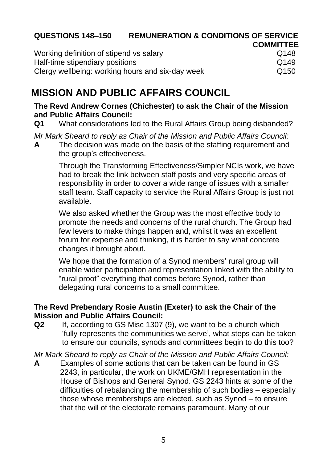## **QUESTIONS 148–150 REMUNERATION & CONDITIONS OF SERVICE**

|                                                  | <b>COMMITTEE</b> |
|--------------------------------------------------|------------------|
| Working definition of stipend vs salary          | Q148             |
| Half-time stipendiary positions                  | Q149             |
| Clergy wellbeing: working hours and six-day week | Q <sub>150</sub> |

## **MISSION AND PUBLIC AFFAIRS COUNCIL**

#### **The Revd Andrew Cornes (Chichester) to ask the Chair of the Mission and Public Affairs Council:**

**Q1** What considerations led to the Rural Affairs Group being disbanded?

*Mr Mark Sheard to reply as Chair of the Mission and Public Affairs Council:*

**A** The decision was made on the basis of the staffing requirement and the group's effectiveness.

Through the Transforming Effectiveness/Simpler NCIs work, we have had to break the link between staff posts and very specific areas of responsibility in order to cover a wide range of issues with a smaller staff team. Staff capacity to service the Rural Affairs Group is just not available.

We also asked whether the Group was the most effective body to promote the needs and concerns of the rural church. The Group had few levers to make things happen and, whilst it was an excellent forum for expertise and thinking, it is harder to say what concrete changes it brought about.

We hope that the formation of a Synod members' rural group will enable wider participation and representation linked with the ability to "rural proof" everything that comes before Synod, rather than delegating rural concerns to a small committee.

## **The Revd Prebendary Rosie Austin (Exeter) to ask the Chair of the Mission and Public Affairs Council:**

**Q2** If, according to GS Misc 1307 (9), we want to be a church which 'fully represents the communities we serve', what steps can be taken to ensure our councils, synods and committees begin to do this too?

*Mr Mark Sheard to reply as Chair of the Mission and Public Affairs Council:*

**A** Examples of some actions that can be taken can be found in GS 2243, in particular, the work on UKME/GMH representation in the House of Bishops and General Synod. GS 2243 hints at some of the difficulties of rebalancing the membership of such bodies – especially those whose memberships are elected, such as Synod – to ensure that the will of the electorate remains paramount. Many of our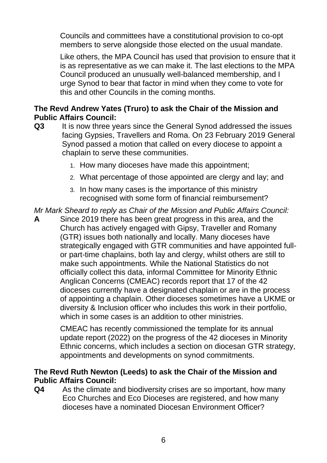Councils and committees have a constitutional provision to co-opt members to serve alongside those elected on the usual mandate.

Like others, the MPA Council has used that provision to ensure that it is as representative as we can make it. The last elections to the MPA Council produced an unusually well-balanced membership, and I urge Synod to bear that factor in mind when they come to vote for this and other Councils in the coming months.

## **The Revd Andrew Yates (Truro) to ask the Chair of the Mission and Public Affairs Council:**

- **Q3** It is now three years since the General Synod addressed the issues facing Gypsies, Travellers and Roma. On 23 February 2019 General Synod passed a motion that called on every diocese to appoint a chaplain to serve these communities.
	- 1. How many dioceses have made this appointment;
	- 2. What percentage of those appointed are clergy and lay; and
	- 3. In how many cases is the importance of this ministry recognised with some form of financial reimbursement?

*Mr Mark Sheard to reply as Chair of the Mission and Public Affairs Council:*

**A** Since 2019 there has been great progress in this area, and the Church has actively engaged with Gipsy, Traveller and Romany (GTR) issues both nationally and locally. Many dioceses have strategically engaged with GTR communities and have appointed fullor part-time chaplains, both lay and clergy, whilst others are still to make such appointments. While the National Statistics do not officially collect this data, informal Committee for Minority Ethnic Anglican Concerns (CMEAC) records report that 17 of the 42 dioceses currently have a designated chaplain or are in the process of appointing a chaplain. Other dioceses sometimes have a UKME or diversity & Inclusion officer who includes this work in their portfolio, which in some cases is an addition to other ministries.

CMEAC has recently commissioned the template for its annual update report (2022) on the progress of the 42 dioceses in Minority Ethnic concerns, which includes a section on diocesan GTR strategy, appointments and developments on synod commitments.

## **The Revd Ruth Newton (Leeds) to ask the Chair of the Mission and Public Affairs Council:**

**Q4** As the climate and biodiversity crises are so important, how many Eco Churches and Eco Dioceses are registered, and how many dioceses have a nominated Diocesan Environment Officer?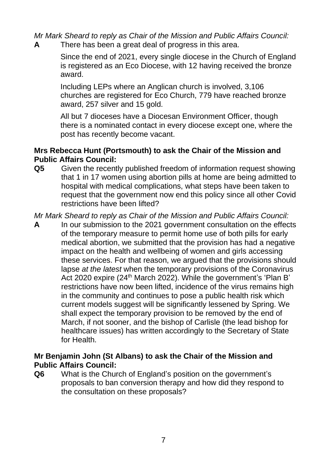*Mr Mark Sheard to reply as Chair of the Mission and Public Affairs Council:* **A** There has been a great deal of progress in this area.

Since the end of 2021, every single diocese in the Church of England is registered as an Eco Diocese, with 12 having received the bronze award.

Including LEPs where an Anglican church is involved, 3,106 churches are registered for Eco Church, 779 have reached bronze award, 257 silver and 15 gold.

All but 7 dioceses have a Diocesan Environment Officer, though there is a nominated contact in every diocese except one, where the post has recently become vacant.

## **Mrs Rebecca Hunt (Portsmouth) to ask the Chair of the Mission and Public Affairs Council:**

**Q5** Given the recently published freedom of information request showing that 1 in 17 women using abortion pills at home are being admitted to hospital with medical complications, what steps have been taken to request that the government now end this policy since all other Covid restrictions have been lifted?

*Mr Mark Sheard to reply as Chair of the Mission and Public Affairs Council:*

**A** In our submission to the 2021 government consultation on the effects of the temporary measure to permit home use of both pills for early medical abortion, we submitted that the provision has had a negative impact on the health and wellbeing of women and girls accessing these services. For that reason, we argued that the provisions should lapse *at the latest* when the temporary provisions of the Coronavirus Act 2020 expire (24<sup>th</sup> March 2022). While the government's 'Plan B' restrictions have now been lifted, incidence of the virus remains high in the community and continues to pose a public health risk which current models suggest will be significantly lessened by Spring. We shall expect the temporary provision to be removed by the end of March, if not sooner, and the bishop of Carlisle (the lead bishop for healthcare issues) has written accordingly to the Secretary of State for Health.

## **Mr Benjamin John (St Albans) to ask the Chair of the Mission and Public Affairs Council:**

**Q6** What is the Church of England's position on the government's proposals to ban conversion therapy and how did they respond to the consultation on these proposals?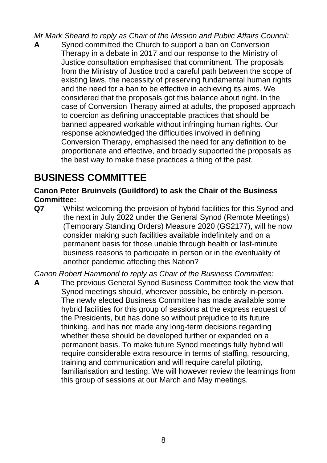*Mr Mark Sheard to reply as Chair of the Mission and Public Affairs Council:*

**A** Synod committed the Church to support a ban on Conversion Therapy in a debate in 2017 and our response to the Ministry of Justice consultation emphasised that commitment. The proposals from the Ministry of Justice trod a careful path between the scope of existing laws, the necessity of preserving fundamental human rights and the need for a ban to be effective in achieving its aims. We considered that the proposals got this balance about right. In the case of Conversion Therapy aimed at adults, the proposed approach to coercion as defining unacceptable practices that should be banned appeared workable without infringing human rights. Our response acknowledged the difficulties involved in defining Conversion Therapy, emphasised the need for any definition to be proportionate and effective, and broadly supported the proposals as the best way to make these practices a thing of the past.

## **BUSINESS COMMITTEE**

**Canon Peter Bruinvels (Guildford) to ask the Chair of the Business Committee:**

**Q7** Whilst welcoming the provision of hybrid facilities for this Synod and the next in July 2022 under the General Synod (Remote Meetings) (Temporary Standing Orders) Measure 2020 (GS2177), will he now consider making such facilities available indefinitely and on a permanent basis for those unable through health or last-minute business reasons to participate in person or in the eventuality of another pandemic affecting this Nation?

*Canon Robert Hammond to reply as Chair of the Business Committee:*

**A** The previous General Synod Business Committee took the view that Synod meetings should, wherever possible, be entirely in-person. The newly elected Business Committee has made available some hybrid facilities for this group of sessions at the express request of the Presidents, but has done so without prejudice to its future thinking, and has not made any long-term decisions regarding whether these should be developed further or expanded on a permanent basis. To make future Synod meetings fully hybrid will require considerable extra resource in terms of staffing, resourcing, training and communication and will require careful piloting, familiarisation and testing. We will however review the learnings from this group of sessions at our March and May meetings.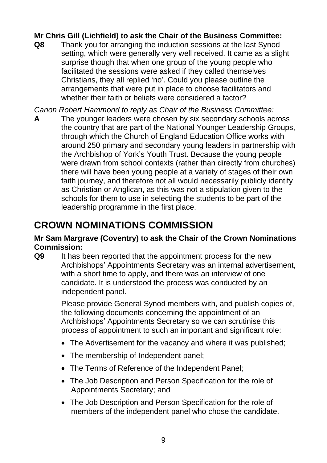## **Mr Chris Gill (Lichfield) to ask the Chair of the Business Committee:**

**Q8** Thank you for arranging the induction sessions at the last Synod setting, which were generally very well received. It came as a slight surprise though that when one group of the young people who facilitated the sessions were asked if they called themselves Christians, they all replied 'no'. Could you please outline the arrangements that were put in place to choose facilitators and whether their faith or beliefs were considered a factor?

*Canon Robert Hammond to reply as Chair of the Business Committee:*

**A** The younger leaders were chosen by six secondary schools across the country that are part of the National Younger Leadership Groups, through which the Church of England Education Office works with around 250 primary and secondary young leaders in partnership with the Archbishop of York's Youth Trust. Because the young people were drawn from school contexts (rather than directly from churches) there will have been young people at a variety of stages of their own faith journey, and therefore not all would necessarily publicly identify as Christian or Anglican, as this was not a stipulation given to the schools for them to use in selecting the students to be part of the leadership programme in the first place.

# **CROWN NOMINATIONS COMMISSION**

#### **Mr Sam Margrave (Coventry) to ask the Chair of the Crown Nominations Commission:**

**Q9** It has been reported that the appointment process for the new Archbishops' Appointments Secretary was an internal advertisement, with a short time to apply, and there was an interview of one candidate. It is understood the process was conducted by an independent panel.

> Please provide General Synod members with, and publish copies of, the following documents concerning the appointment of an Archbishops' Appointments Secretary so we can scrutinise this process of appointment to such an important and significant role:

- The Advertisement for the vacancy and where it was published;
- The membership of Independent panel;
- The Terms of Reference of the Independent Panel;
- The Job Description and Person Specification for the role of Appointments Secretary; and
- The Job Description and Person Specification for the role of members of the independent panel who chose the candidate.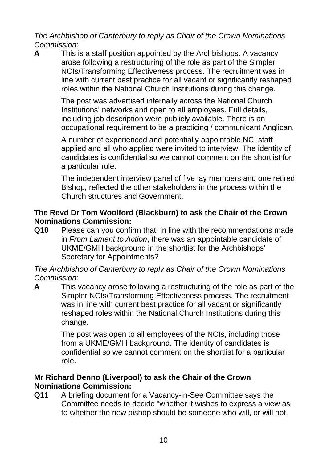*The Archbishop of Canterbury to reply as Chair of the Crown Nominations Commission:*

**A** This is a staff position appointed by the Archbishops. A vacancy arose following a restructuring of the role as part of the Simpler NCIs/Transforming Effectiveness process. The recruitment was in line with current best practice for all vacant or significantly reshaped roles within the National Church Institutions during this change.

> The post was advertised internally across the National Church Institutions' networks and open to all employees. Full details, including job description were publicly available. There is an occupational requirement to be a practicing / communicant Anglican.

> A number of experienced and potentially appointable NCI staff applied and all who applied were invited to interview. The identity of candidates is confidential so we cannot comment on the shortlist for a particular role.

The independent interview panel of five lay members and one retired Bishop, reflected the other stakeholders in the process within the Church structures and Government.

## **The Revd Dr Tom Woolford (Blackburn) to ask the Chair of the Crown Nominations Commission:**

**Q10** Please can you confirm that, in line with the recommendations made in *From Lament to Action*, there was an appointable candidate of UKME/GMH background in the shortlist for the Archbishops' Secretary for Appointments?

*The Archbishop of Canterbury to reply as Chair of the Crown Nominations Commission:*

**A** This vacancy arose following a restructuring of the role as part of the Simpler NCIs/Transforming Effectiveness process. The recruitment was in line with current best practice for all vacant or significantly reshaped roles within the National Church Institutions during this change.

> The post was open to all employees of the NCIs, including those from a UKME/GMH background. The identity of candidates is confidential so we cannot comment on the shortlist for a particular role.

## **Mr Richard Denno (Liverpool) to ask the Chair of the Crown Nominations Commission:**

**Q11** A briefing document for a Vacancy-in-See Committee says the Committee needs to decide "whether it wishes to express a view as to whether the new bishop should be someone who will, or will not,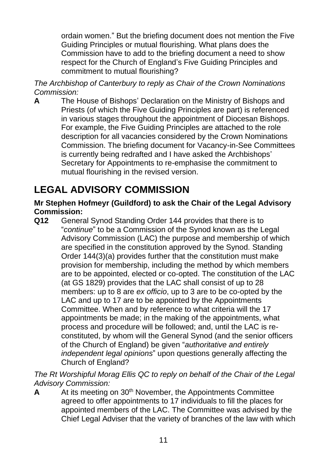ordain women." But the briefing document does not mention the Five Guiding Principles or mutual flourishing. What plans does the Commission have to add to the briefing document a need to show respect for the Church of England's Five Guiding Principles and commitment to mutual flourishing?

*The Archbishop of Canterbury to reply as Chair of the Crown Nominations Commission:*

**A** The House of Bishops' Declaration on the Ministry of Bishops and Priests (of which the Five Guiding Principles are part) is referenced in various stages throughout the appointment of Diocesan Bishops. For example, the Five Guiding Principles are attached to the role description for all vacancies considered by the Crown Nominations Commission. The briefing document for Vacancy-in-See Committees is currently being redrafted and I have asked the Archbishops' Secretary for Appointments to re-emphasise the commitment to mutual flourishing in the revised version.

# **LEGAL ADVISORY COMMISSION**

## **Mr Stephen Hofmeyr (Guildford) to ask the Chair of the Legal Advisory Commission:**

**Q12** General Synod Standing Order 144 provides that there is to "*continue*" to be a Commission of the Synod known as the Legal Advisory Commission (LAC) the purpose and membership of which are specified in the constitution approved by the Synod. Standing Order 144(3)(a) provides further that the constitution must make provision for membership, including the method by which members are to be appointed, elected or co-opted. The constitution of the LAC (at GS 1829) provides that the LAC shall consist of up to 28 members: up to 8 are *ex officio*, up to 3 are to be co-opted by the LAC and up to 17 are to be appointed by the Appointments Committee. When and by reference to what criteria will the 17 appointments be made; in the making of the appointments, what process and procedure will be followed; and, until the LAC is reconstituted, by whom will the General Synod (and the senior officers of the Church of England) be given "*authoritative and entirely independent legal opinions*" upon questions generally affecting the Church of England?

*The Rt Worshipful Morag Ellis QC to reply on behalf of the Chair of the Legal Advisory Commission:*

A At its meeting on 30<sup>th</sup> November, the Appointments Committee agreed to offer appointments to 17 individuals to fill the places for appointed members of the LAC. The Committee was advised by the Chief Legal Adviser that the variety of branches of the law with which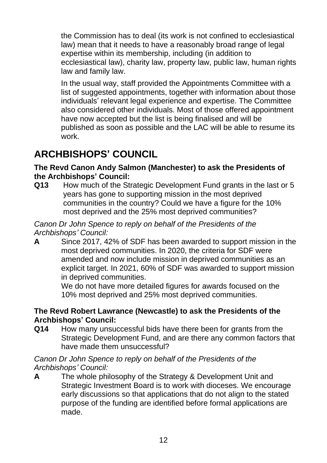the Commission has to deal (its work is not confined to ecclesiastical law) mean that it needs to have a reasonably broad range of legal expertise within its membership, including (in addition to ecclesiastical law), charity law, property law, public law, human rights law and family law.

In the usual way, staff provided the Appointments Committee with a list of suggested appointments, together with information about those individuals' relevant legal experience and expertise. The Committee also considered other individuals. Most of those offered appointment have now accepted but the list is being finalised and will be published as soon as possible and the LAC will be able to resume its work.

# **ARCHBISHOPS' COUNCIL**

#### **The Revd Canon Andy Salmon (Manchester) to ask the Presidents of the Archbishops' Council:**

**Q13** How much of the Strategic Development Fund grants in the last or 5 years has gone to supporting mission in the most deprived communities in the country? Could we have a figure for the 10% most deprived and the 25% most deprived communities?

*Canon Dr John Spence to reply on behalf of the Presidents of the Archbishops' Council:*

**A** Since 2017, 42% of SDF has been awarded to support mission in the most deprived communities. In 2020, the criteria for SDF were amended and now include mission in deprived communities as an explicit target. In 2021, 60% of SDF was awarded to support mission in deprived communities.

We do not have more detailed figures for awards focused on the 10% most deprived and 25% most deprived communities.

## **The Revd Robert Lawrance (Newcastle) to ask the Presidents of the Archbishops' Council:**

**Q14** How many unsuccessful bids have there been for grants from the Strategic Development Fund, and are there any common factors that have made them unsuccessful?

#### *Canon Dr John Spence to reply on behalf of the Presidents of the Archbishops' Council:*

**A** The whole philosophy of the Strategy & Development Unit and Strategic Investment Board is to work with dioceses. We encourage early discussions so that applications that do not align to the stated purpose of the funding are identified before formal applications are made.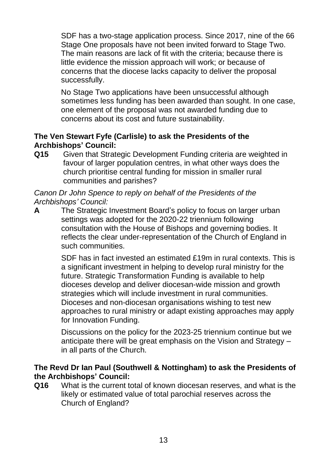SDF has a two-stage application process. Since 2017, nine of the 66 Stage One proposals have not been invited forward to Stage Two. The main reasons are lack of fit with the criteria; because there is little evidence the mission approach will work; or because of concerns that the diocese lacks capacity to deliver the proposal successfully.

No Stage Two applications have been unsuccessful although sometimes less funding has been awarded than sought. In one case, one element of the proposal was not awarded funding due to concerns about its cost and future sustainability.

## **The Ven Stewart Fyfe (Carlisle) to ask the Presidents of the Archbishops' Council:**

**Q15** Given that Strategic Development Funding criteria are weighted in favour of larger population centres, in what other ways does the church prioritise central funding for mission in smaller rural communities and parishes?

*Canon Dr John Spence to reply on behalf of the Presidents of the Archbishops' Council:*

**A** The Strategic Investment Board's policy to focus on larger urban settings was adopted for the 2020-22 triennium following consultation with the House of Bishops and governing bodies. It reflects the clear under-representation of the Church of England in such communities.

> SDF has in fact invested an estimated £19m in rural contexts. This is a significant investment in helping to develop rural ministry for the future. Strategic Transformation Funding is available to help dioceses develop and deliver diocesan-wide mission and growth strategies which will include investment in rural communities. Dioceses and non-diocesan organisations wishing to test new approaches to rural ministry or adapt existing approaches may apply for Innovation Funding.

Discussions on the policy for the 2023-25 triennium continue but we anticipate there will be great emphasis on the Vision and Strategy – in all parts of the Church.

#### **The Revd Dr Ian Paul (Southwell & Nottingham) to ask the Presidents of the Archbishops' Council:**

**Q16** What is the current total of known diocesan reserves, and what is the likely or estimated value of total parochial reserves across the Church of England?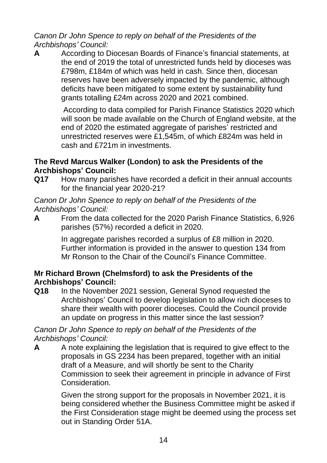*Canon Dr John Spence to reply on behalf of the Presidents of the Archbishops' Council:*

**A** According to Diocesan Boards of Finance's financial statements, at the end of 2019 the total of unrestricted funds held by dioceses was £798m, £184m of which was held in cash. Since then, diocesan reserves have been adversely impacted by the pandemic, although deficits have been mitigated to some extent by sustainability fund grants totalling £24m across 2020 and 2021 combined.

> According to data compiled for Parish Finance Statistics 2020 which will soon be made available on the Church of England website, at the end of 2020 the estimated aggregate of parishes' restricted and unrestricted reserves were £1,545m, of which £824m was held in cash and £721m in investments.

## **The Revd Marcus Walker (London) to ask the Presidents of the Archbishops' Council:**

**Q17** How many parishes have recorded a deficit in their annual accounts for the financial year 2020-21?

*Canon Dr John Spence to reply on behalf of the Presidents of the Archbishops' Council:*

**A** From the data collected for the 2020 Parish Finance Statistics, 6,926 parishes (57%) recorded a deficit in 2020.

> In aggregate parishes recorded a surplus of £8 million in 2020. Further information is provided in the answer to question 134 from Mr Ronson to the Chair of the Council's Finance Committee.

## **Mr Richard Brown (Chelmsford) to ask the Presidents of the Archbishops' Council:**

**Q18** In the November 2021 session, General Synod requested the Archbishops' Council to develop legislation to allow rich dioceses to share their wealth with poorer dioceses. Could the Council provide an update on progress in this matter since the last session?

*Canon Dr John Spence to reply on behalf of the Presidents of the Archbishops' Council:*

**A** A note explaining the legislation that is required to give effect to the proposals in GS 2234 has been prepared, together with an initial draft of a Measure, and will shortly be sent to the Charity Commission to seek their agreement in principle in advance of First Consideration.

> Given the strong support for the proposals in November 2021, it is being considered whether the Business Committee might be asked if the First Consideration stage might be deemed using the process set out in Standing Order 51A.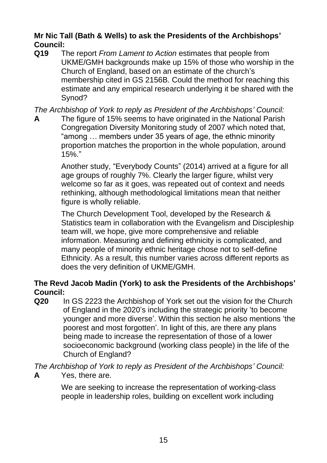## **Mr Nic Tall (Bath & Wells) to ask the Presidents of the Archbishops' Council:**

**Q19** The report *From Lament to Action* estimates that people from UKME/GMH backgrounds make up 15% of those who worship in the Church of England, based on an estimate of the church's membership cited in GS 2156B. Could the method for reaching this estimate and any empirical research underlying it be shared with the Synod?

*The Archbishop of York to reply as President of the Archbishops' Council:*

**A** The figure of 15% seems to have originated in the National Parish Congregation Diversity Monitoring study of 2007 which noted that, "among … members under 35 years of age, the ethnic minority proportion matches the proportion in the whole population, around 15%."

> Another study, "Everybody Counts" (2014) arrived at a figure for all age groups of roughly 7%. Clearly the larger figure, whilst very welcome so far as it goes, was repeated out of context and needs rethinking, although methodological limitations mean that neither figure is wholly reliable.

The Church Development Tool, developed by the Research & Statistics team in collaboration with the Evangelism and Discipleship team will, we hope, give more comprehensive and reliable information. Measuring and defining ethnicity is complicated, and many people of minority ethnic heritage chose not to self-define Ethnicity. As a result, this number varies across different reports as does the very definition of UKME/GMH.

## **The Revd Jacob Madin (York) to ask the Presidents of the Archbishops' Council:**

**Q20** In GS 2223 the Archbishop of York set out the vision for the Church of England in the 2020's including the strategic priority 'to become younger and more diverse'. Within this section he also mentions 'the poorest and most forgotten'. In light of this, are there any plans being made to increase the representation of those of a lower socioeconomic background (working class people) in the life of the Church of England?

*The Archbishop of York to reply as President of the Archbishops' Council:* 

**A** Yes, there are.

We are seeking to increase the representation of working-class people in leadership roles, building on excellent work including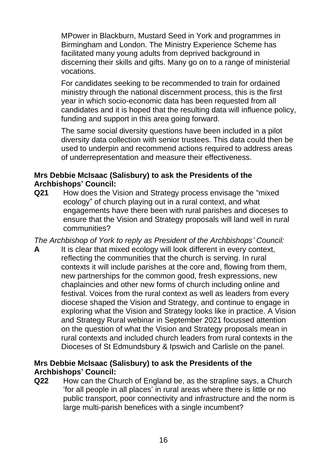MPower in Blackburn, Mustard Seed in York and programmes in Birmingham and London. The Ministry Experience Scheme has facilitated many young adults from deprived background in discerning their skills and gifts. Many go on to a range of ministerial vocations.

For candidates seeking to be recommended to train for ordained ministry through the national discernment process, this is the first year in which socio-economic data has been requested from all candidates and it is hoped that the resulting data will influence policy, funding and support in this area going forward.

The same social diversity questions have been included in a pilot diversity data collection with senior trustees. This data could then be used to underpin and recommend actions required to address areas of underrepresentation and measure their effectiveness.

## **Mrs Debbie McIsaac (Salisbury) to ask the Presidents of the Archbishops' Council:**

**Q21** How does the Vision and Strategy process envisage the "mixed ecology" of church playing out in a rural context, and what engagements have there been with rural parishes and dioceses to ensure that the Vision and Strategy proposals will land well in rural communities?

*The Archbishop of York to reply as President of the Archbishops' Council:*

**A** It is clear that mixed ecology will look different in every context, reflecting the communities that the church is serving. In rural contexts it will include parishes at the core and, flowing from them, new partnerships for the common good, fresh expressions, new chaplaincies and other new forms of church including online and festival. Voices from the rural context as well as leaders from every diocese shaped the Vision and Strategy, and continue to engage in exploring what the Vision and Strategy looks like in practice. A Vision and Strategy Rural webinar in September 2021 focussed attention on the question of what the Vision and Strategy proposals mean in rural contexts and included church leaders from rural contexts in the Dioceses of St Edmundsbury & Ipswich and Carlisle on the panel.

## **Mrs Debbie McIsaac (Salisbury) to ask the Presidents of the Archbishops' Council:**

**Q22** How can the Church of England be, as the strapline says, a Church 'for all people in all places' in rural areas where there is little or no public transport, poor connectivity and infrastructure and the norm is large multi-parish benefices with a single incumbent?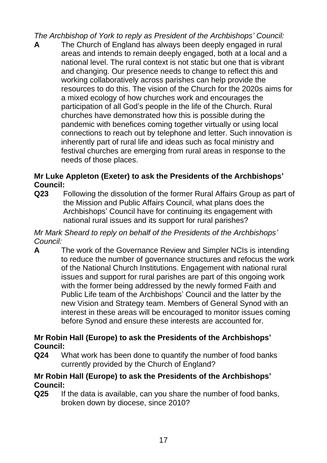*The Archbishop of York to reply as President of the Archbishops' Council:*

**A** The Church of England has always been deeply engaged in rural areas and intends to remain deeply engaged, both at a local and a national level. The rural context is not static but one that is vibrant and changing. Our presence needs to change to reflect this and working collaboratively across parishes can help provide the resources to do this. The vision of the Church for the 2020s aims for a mixed ecology of how churches work and encourages the participation of all God's people in the life of the Church. Rural churches have demonstrated how this is possible during the pandemic with benefices coming together virtually or using local connections to reach out by telephone and letter. Such innovation is inherently part of rural life and ideas such as focal ministry and festival churches are emerging from rural areas in response to the needs of those places.

## **Mr Luke Appleton (Exeter) to ask the Presidents of the Archbishops' Council:**

**Q23** Following the dissolution of the former Rural Affairs Group as part of the Mission and Public Affairs Council, what plans does the Archbishops' Council have for continuing its engagement with national rural issues and its support for rural parishes?

*Mr Mark Sheard to reply on behalf of the Presidents of the Archbishops' Council:*

**A** The work of the Governance Review and Simpler NCIs is intending to reduce the number of governance structures and refocus the work of the National Church Institutions. Engagement with national rural issues and support for rural parishes are part of this ongoing work with the former being addressed by the newly formed Faith and Public Life team of the Archbishops' Council and the latter by the new Vision and Strategy team. Members of General Synod with an interest in these areas will be encouraged to monitor issues coming before Synod and ensure these interests are accounted for.

## **Mr Robin Hall (Europe) to ask the Presidents of the Archbishops' Council:**

**Q24** What work has been done to quantify the number of food banks currently provided by the Church of England?

## **Mr Robin Hall (Europe) to ask the Presidents of the Archbishops' Council:**

**Q25** If the data is available, can you share the number of food banks, broken down by diocese, since 2010?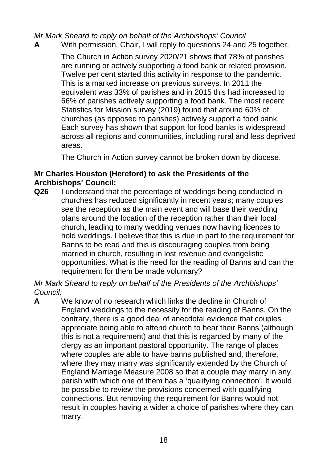*Mr Mark Sheard to reply on behalf of the Archbishops' Council*

**A** With permission, Chair, I will reply to questions 24 and 25 together.

The Church in Action survey 2020/21 shows that 78% of parishes are running or actively supporting a food bank or related provision. Twelve per cent started this activity in response to the pandemic. This is a marked increase on previous surveys. In 2011 the equivalent was 33% of parishes and in 2015 this had increased to 66% of parishes actively supporting a food bank. The most recent Statistics for Mission survey (2019) found that around 60% of churches (as opposed to parishes) actively support a food bank. Each survey has shown that support for food banks is widespread across all regions and communities, including rural and less deprived areas.

The Church in Action survey cannot be broken down by diocese.

## **Mr Charles Houston (Hereford) to ask the Presidents of the Archbishops' Council:**

**Q26** I understand that the percentage of weddings being conducted in churches has reduced significantly in recent years; many couples see the reception as the main event and will base their wedding plans around the location of the reception rather than their local church, leading to many wedding venues now having licences to hold weddings. I believe that this is due in part to the requirement for Banns to be read and this is discouraging couples from being married in church, resulting in lost revenue and evangelistic opportunities. What is the need for the reading of Banns and can the requirement for them be made voluntary?

*Mr Mark Sheard to reply on behalf of the Presidents of the Archbishops' Council:*

**A** We know of no research which links the decline in Church of England weddings to the necessity for the reading of Banns. On the contrary, there is a good deal of anecdotal evidence that couples appreciate being able to attend church to hear their Banns (although this is not a requirement) and that this is regarded by many of the clergy as an important pastoral opportunity. The range of places where couples are able to have banns published and, therefore, where they may marry was significantly extended by the Church of England Marriage Measure 2008 so that a couple may marry in any parish with which one of them has a 'qualifying connection'. It would be possible to review the provisions concerned with qualifying connections. But removing the requirement for Banns would not result in couples having a wider a choice of parishes where they can marry.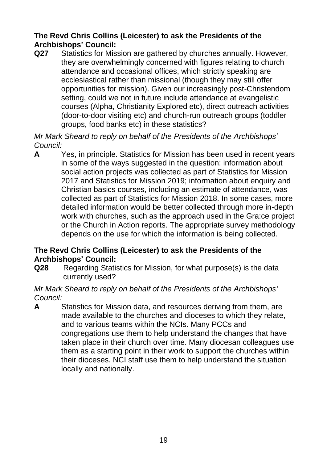## **The Revd Chris Collins (Leicester) to ask the Presidents of the Archbishops' Council:**

**Q27** Statistics for Mission are gathered by churches annually. However, they are overwhelmingly concerned with figures relating to church attendance and occasional offices, which strictly speaking are ecclesiastical rather than missional (though they may still offer opportunities for mission). Given our increasingly post-Christendom setting, could we not in future include attendance at evangelistic courses (Alpha, Christianity Explored etc), direct outreach activities (door-to-door visiting etc) and church-run outreach groups (toddler groups, food banks etc) in these statistics?

*Mr Mark Sheard to reply on behalf of the Presidents of the Archbishops' Council:*

**A** Yes, in principle. Statistics for Mission has been used in recent years in some of the ways suggested in the question: information about social action projects was collected as part of Statistics for Mission 2017 and Statistics for Mission 2019; information about enquiry and Christian basics courses, including an estimate of attendance, was collected as part of Statistics for Mission 2018. In some cases, more detailed information would be better collected through more in-depth work with churches, such as the approach used in the Gra:ce project or the Church in Action reports. The appropriate survey methodology depends on the use for which the information is being collected.

## **The Revd Chris Collins (Leicester) to ask the Presidents of the Archbishops' Council:**

**Q28** Regarding Statistics for Mission, for what purpose(s) is the data currently used?

## *Mr Mark Sheard to reply on behalf of the Presidents of the Archbishops' Council:*

**A** Statistics for Mission data, and resources deriving from them, are made available to the churches and dioceses to which they relate, and to various teams within the NCIs. Many PCCs and congregations use them to help understand the changes that have taken place in their church over time. Many diocesan colleagues use them as a starting point in their work to support the churches within their dioceses. NCI staff use them to help understand the situation locally and nationally.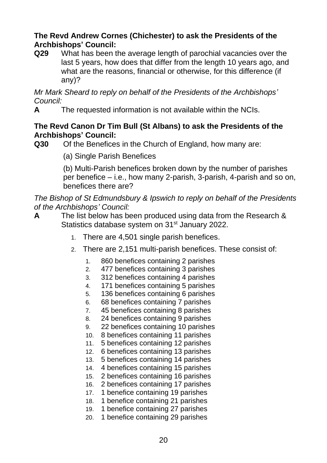## **The Revd Andrew Cornes (Chichester) to ask the Presidents of the Archbishops' Council:**

**Q29** What has been the average length of parochial vacancies over the last 5 years, how does that differ from the length 10 years ago, and what are the reasons, financial or otherwise, for this difference (if any)?

*Mr Mark Sheard to reply on behalf of the Presidents of the Archbishops' Council:*

**A** The requested information is not available within the NCIs.

#### **The Revd Canon Dr Tim Bull (St Albans) to ask the Presidents of the Archbishops' Council:**

- **Q30** Of the Benefices in the Church of England, how many are:
	- (a) Single Parish Benefices

(b) Multi-Parish benefices broken down by the number of parishes per benefice – i.e., how many 2-parish, 3-parish, 4-parish and so on, benefices there are?

*The Bishop of St Edmundsbury & Ipswich to reply on behalf of the Presidents of the Archbishops' Council:*

- **A** The list below has been produced using data from the Research & Statistics database system on 31<sup>st</sup> January 2022.
	- 1. There are 4,501 single parish benefices.
	- 2. There are 2,151 multi-parish benefices. These consist of:
		- 1. 860 benefices containing 2 parishes
		- 2. 477 benefices containing 3 parishes
		- 3. 312 benefices containing 4 parishes
		- 4. 171 benefices containing 5 parishes
		- 5. 136 benefices containing 6 parishes
		- 6. 68 benefices containing 7 parishes
		- 7. 45 benefices containing 8 parishes
		- 8. 24 benefices containing 9 parishes
		- 9. 22 benefices containing 10 parishes
		- 10. 8 benefices containing 11 parishes
		- 11. 5 benefices containing 12 parishes
		- 12. 6 benefices containing 13 parishes
		- 13. 5 benefices containing 14 parishes
		- 14. 4 benefices containing 15 parishes
		- 15. 2 benefices containing 16 parishes
		- 16. 2 benefices containing 17 parishes
		- 17. 1 benefice containing 19 parishes
		- 18. 1 benefice containing 21 parishes
		- 19. 1 benefice containing 27 parishes
		- 20. 1 benefice containing 29 parishes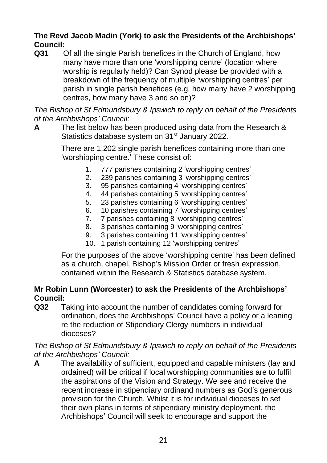## **The Revd Jacob Madin (York) to ask the Presidents of the Archbishops' Council:**

**Q31** Of all the single Parish benefices in the Church of England, how many have more than one 'worshipping centre' (location where worship is regularly held)? Can Synod please be provided with a breakdown of the frequency of multiple 'worshipping centres' per parish in single parish benefices (e.g. how many have 2 worshipping centres, how many have 3 and so on)?

*The Bishop of St Edmundsbury & Ipswich to reply on behalf of the Presidents of the Archbishops' Council:*

**A** The list below has been produced using data from the Research & Statistics database system on 31<sup>st</sup> January 2022.

> There are 1,202 single parish benefices containing more than one 'worshipping centre.' These consist of:

- 1. 777 parishes containing 2 'worshipping centres'
- 2. 239 parishes containing 3 'worshipping centres'
- 3. 95 parishes containing 4 'worshipping centres'
- 4. 44 parishes containing 5 'worshipping centres'
- 5. 23 parishes containing 6 'worshipping centres'
- 6. 10 parishes containing 7 'worshipping centres'
- 7. 7 parishes containing 8 'worshipping centres'
- 8. 3 parishes containing 9 'worshipping centres'
- 9. 3 parishes containing 11 'worshipping centres'
- 10. 1 parish containing 12 'worshipping centres'

For the purposes of the above 'worshipping centre' has been defined as a church, chapel, Bishop's Mission Order or fresh expression, contained within the Research & Statistics database system.

#### **Mr Robin Lunn (Worcester) to ask the Presidents of the Archbishops' Council:**

**Q32** Taking into account the number of candidates coming forward for ordination, does the Archbishops' Council have a policy or a leaning re the reduction of Stipendiary Clergy numbers in individual dioceses?

*The Bishop of St Edmundsbury & Ipswich to reply on behalf of the Presidents of the Archbishops' Council:*

**A** The availability of sufficient, equipped and capable ministers (lay and ordained) will be critical if local worshipping communities are to fulfil the aspirations of the Vision and Strategy. We see and receive the recent increase in stipendiary ordinand numbers as God's generous provision for the Church. Whilst it is for individual dioceses to set their own plans in terms of stipendiary ministry deployment, the Archbishops' Council will seek to encourage and support the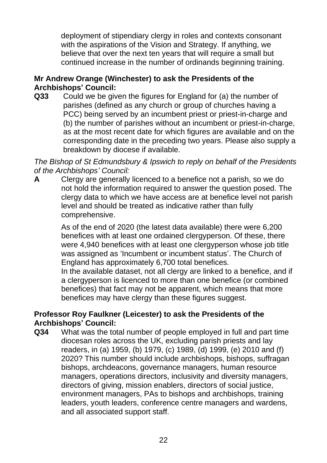deployment of stipendiary clergy in roles and contexts consonant with the aspirations of the Vision and Strategy. If anything, we believe that over the next ten years that will require a small but continued increase in the number of ordinands beginning training.

## **Mr Andrew Orange (Winchester) to ask the Presidents of the Archbishops' Council:**

**Q33** Could we be given the figures for England for (a) the number of parishes (defined as any church or group of churches having a PCC) being served by an incumbent priest or priest-in-charge and (b) the number of parishes without an incumbent or priest-in-charge, as at the most recent date for which figures are available and on the corresponding date in the preceding two years. Please also supply a breakdown by diocese if available.

*The Bishop of St Edmundsbury & Ipswich to reply on behalf of the Presidents of the Archbishops' Council:*

**A** Clergy are generally licenced to a benefice not a parish, so we do not hold the information required to answer the question posed. The clergy data to which we have access are at benefice level not parish level and should be treated as indicative rather than fully comprehensive.

> As of the end of 2020 (the latest data available) there were 6,200 benefices with at least one ordained clergyperson. Of these, there were 4,940 benefices with at least one clergyperson whose job title was assigned as 'Incumbent or incumbent status'. The Church of England has approximately 6,700 total benefices.

In the available dataset, not all clergy are linked to a benefice, and if a clergyperson is licenced to more than one benefice (or combined benefices) that fact may not be apparent, which means that more benefices may have clergy than these figures suggest.

#### **Professor Roy Faulkner (Leicester) to ask the Presidents of the Archbishops' Council:**

**Q34** What was the total number of people employed in full and part time diocesan roles across the UK, excluding parish priests and lay readers, in (a) 1959, (b) 1979, (c) 1989, (d) 1999, (e) 2010 and (f) 2020? This number should include archbishops, bishops, suffragan bishops, archdeacons, governance managers, human resource managers, operations directors, inclusivity and diversity managers, directors of giving, mission enablers, directors of social justice, environment managers, PAs to bishops and archbishops, training leaders, youth leaders, conference centre managers and wardens, and all associated support staff.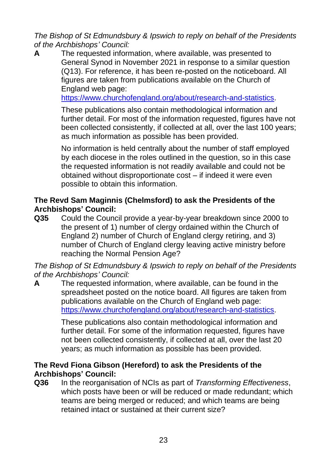*The Bishop of St Edmundsbury & Ipswich to reply on behalf of the Presidents of the Archbishops' Council:*

**A** The requested information, where available, was presented to General Synod in November 2021 in response to a similar question (Q13). For reference, it has been re-posted on the noticeboard. All figures are taken from publications available on the Church of England web page:

[https://www.churchofengland.org/about/research-and-statistics.](https://www.churchofengland.org/about/research-and-statistics)

These publications also contain methodological information and further detail. For most of the information requested, figures have not been collected consistently, if collected at all, over the last 100 years; as much information as possible has been provided.

No information is held centrally about the number of staff employed by each diocese in the roles outlined in the question, so in this case the requested information is not readily available and could not be obtained without disproportionate cost – if indeed it were even possible to obtain this information.

## **The Revd Sam Maginnis (Chelmsford) to ask the Presidents of the Archbishops' Council:**

**Q35** Could the Council provide a year-by-year breakdown since 2000 to the present of 1) number of clergy ordained within the Church of England 2) number of Church of England clergy retiring, and 3) number of Church of England clergy leaving active ministry before reaching the Normal Pension Age?

*The Bishop of St Edmundsbury & Ipswich to reply on behalf of the Presidents of the Archbishops' Council:*

**A** The requested information, where available, can be found in the spreadsheet posted on the notice board. All figures are taken from publications available on the Church of England web page: [https://www.churchofengland.org/about/research-and-statistics.](https://www.churchofengland.org/about/research-and-statistics)

> These publications also contain methodological information and further detail. For some of the information requested, figures have not been collected consistently, if collected at all, over the last 20 years; as much information as possible has been provided.

## **The Revd Fiona Gibson (Hereford) to ask the Presidents of the Archbishops' Council:**

**Q36** In the reorganisation of NCIs as part of *Transforming Effectiveness*, which posts have been or will be reduced or made redundant; which teams are being merged or reduced; and which teams are being retained intact or sustained at their current size?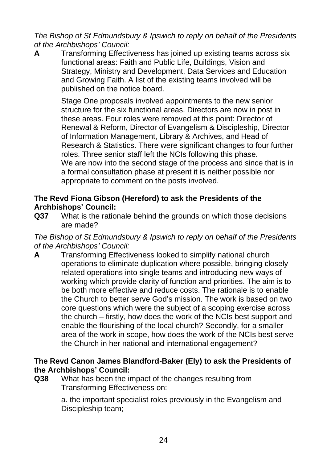*The Bishop of St Edmundsbury & Ipswich to reply on behalf of the Presidents of the Archbishops' Council:*

**A** Transforming Effectiveness has joined up existing teams across six functional areas: Faith and Public Life, Buildings, Vision and Strategy, Ministry and Development, Data Services and Education and Growing Faith. A list of the existing teams involved will be published on the notice board.

> Stage One proposals involved appointments to the new senior structure for the six functional areas. Directors are now in post in these areas. Four roles were removed at this point: Director of Renewal & Reform, Director of Evangelism & Discipleship, Director of Information Management, Library & Archives, and Head of Research & Statistics. There were significant changes to four further roles. Three senior staff left the NCIs following this phase. We are now into the second stage of the process and since that is in a formal consultation phase at present it is neither possible nor appropriate to comment on the posts involved.

## **The Revd Fiona Gibson (Hereford) to ask the Presidents of the Archbishops' Council:**

**Q37** What is the rationale behind the grounds on which those decisions are made?

## *The Bishop of St Edmundsbury & Ipswich to reply on behalf of the Presidents of the Archbishops' Council:*

**A** Transforming Effectiveness looked to simplify national church operations to eliminate duplication where possible, bringing closely related operations into single teams and introducing new ways of working which provide clarity of function and priorities. The aim is to be both more effective and reduce costs. The rationale is to enable the Church to better serve God's mission. The work is based on two core questions which were the subject of a scoping exercise across the church – firstly, how does the work of the NCIs best support and enable the flourishing of the local church? Secondly, for a smaller area of the work in scope, how does the work of the NCIs best serve the Church in her national and international engagement?

## **The Revd Canon James Blandford-Baker (Ely) to ask the Presidents of the Archbishops' Council:**

**Q38** What has been the impact of the changes resulting from Transforming Effectiveness on:

> a. the important specialist roles previously in the Evangelism and Discipleship team;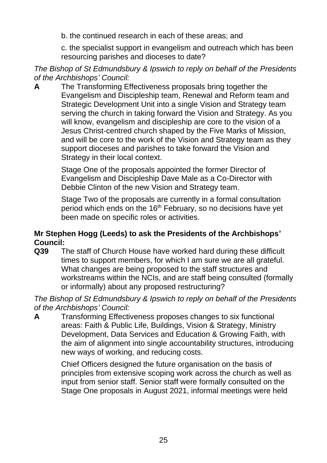b. the continued research in each of these areas; and

c. the specialist support in evangelism and outreach which has been resourcing parishes and dioceses to date?

*The Bishop of St Edmundsbury & Ipswich to reply on behalf of the Presidents of the Archbishops' Council:*

**A** The Transforming Effectiveness proposals bring together the Evangelism and Discipleship team, Renewal and Reform team and Strategic Development Unit into a single Vision and Strategy team serving the church in taking forward the Vision and Strategy. As you will know, evangelism and discipleship are core to the vision of a Jesus Christ-centred church shaped by the Five Marks of Mission, and will be core to the work of the Vision and Strategy team as they support dioceses and parishes to take forward the Vision and Strategy in their local context.

> Stage One of the proposals appointed the former Director of Evangelism and Discipleship Dave Male as a Co-Director with Debbie Clinton of the new Vision and Strategy team.

Stage Two of the proposals are currently in a formal consultation period which ends on the 16<sup>th</sup> February, so no decisions have yet been made on specific roles or activities.

## **Mr Stephen Hogg (Leeds) to ask the Presidents of the Archbishops' Council:**

**Q39** The staff of Church House have worked hard during these difficult times to support members, for which I am sure we are all grateful. What changes are being proposed to the staff structures and workstreams within the NCIs, and are staff being consulted (formally or informally) about any proposed restructuring?

*The Bishop of St Edmundsbury & Ipswich to reply on behalf of the Presidents of the Archbishops' Council:*

**A** Transforming Effectiveness proposes changes to six functional areas: Faith & Public Life, Buildings, Vision & Strategy, Ministry Development, Data Services and Education & Growing Faith, with the aim of alignment into single accountability structures, introducing new ways of working, and reducing costs.

> Chief Officers designed the future organisation on the basis of principles from extensive scoping work across the church as well as input from senior staff. Senior staff were formally consulted on the Stage One proposals in August 2021, informal meetings were held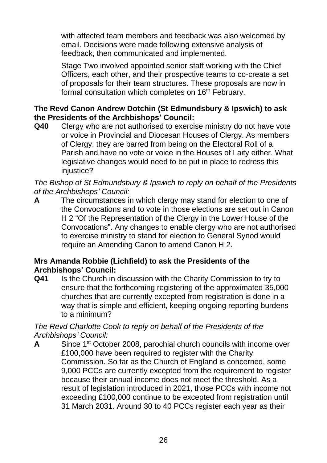with affected team members and feedback was also welcomed by email. Decisions were made following extensive analysis of feedback, then communicated and implemented.

Stage Two involved appointed senior staff working with the Chief Officers, each other, and their prospective teams to co-create a set of proposals for their team structures. These proposals are now in formal consultation which completes on 16<sup>th</sup> February.

## **The Revd Canon Andrew Dotchin (St Edmundsbury & Ipswich) to ask the Presidents of the Archbishops' Council:**

**Q40** Clergy who are not authorised to exercise ministry do not have vote or voice in Provincial and Diocesan Houses of Clergy. As members of Clergy, they are barred from being on the Electoral Roll of a Parish and have no vote or voice in the Houses of Laity either. What legislative changes would need to be put in place to redress this injustice?

*The Bishop of St Edmundsbury & Ipswich to reply on behalf of the Presidents of the Archbishops' Council:*

**A** The circumstances in which clergy may stand for election to one of the Convocations and to vote in those elections are set out in Canon H 2 "Of the Representation of the Clergy in the Lower House of the Convocations". Any changes to enable clergy who are not authorised to exercise ministry to stand for election to General Synod would require an Amending Canon to amend Canon H 2.

## **Mrs Amanda Robbie (Lichfield) to ask the Presidents of the Archbishops' Council:**

**Q41** Is the Church in discussion with the Charity Commission to try to ensure that the forthcoming registering of the approximated 35,000 churches that are currently excepted from registration is done in a way that is simple and efficient, keeping ongoing reporting burdens to a minimum?

*The Revd Charlotte Cook to reply on behalf of the Presidents of the Archbishops' Council:*

**A** Since 1<sup>st</sup> October 2008, parochial church councils with income over £100,000 have been required to register with the Charity Commission. So far as the Church of England is concerned, some 9,000 PCCs are currently excepted from the requirement to register because their annual income does not meet the threshold. As a result of legislation introduced in 2021, those PCCs with income not exceeding £100,000 continue to be excepted from registration until 31 March 2031. Around 30 to 40 PCCs register each year as their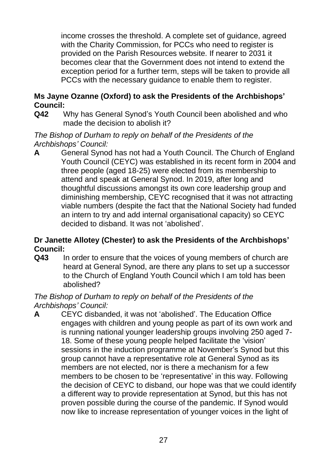income crosses the threshold. A complete set of guidance, agreed with the Charity Commission, for PCCs who need to register is provided on the Parish Resources website. If nearer to 2031 it becomes clear that the Government does not intend to extend the exception period for a further term, steps will be taken to provide all PCCs with the necessary guidance to enable them to register.

## **Ms Jayne Ozanne (Oxford) to ask the Presidents of the Archbishops' Council:**

**Q42** Why has General Synod's Youth Council been abolished and who made the decision to abolish it?

*The Bishop of Durham to reply on behalf of the Presidents of the Archbishops' Council:*

**A** General Synod has not had a Youth Council. The Church of England Youth Council (CEYC) was established in its recent form in 2004 and three people (aged 18-25) were elected from its membership to attend and speak at General Synod. In 2019, after long and thoughtful discussions amongst its own core leadership group and diminishing membership, CEYC recognised that it was not attracting viable numbers (despite the fact that the National Society had funded an intern to try and add internal organisational capacity) so CEYC decided to disband. It was not 'abolished'.

## **Dr Janette Allotey (Chester) to ask the Presidents of the Archbishops' Council:**

**Q43** In order to ensure that the voices of young members of church are heard at General Synod, are there any plans to set up a successor to the Church of England Youth Council which I am told has been abolished?

## *The Bishop of Durham to reply on behalf of the Presidents of the Archbishops' Council:*

**A** CEYC disbanded, it was not 'abolished'. The Education Office engages with children and young people as part of its own work and is running national younger leadership groups involving 250 aged 7- 18. Some of these young people helped facilitate the 'vision' sessions in the induction programme at November's Synod but this group cannot have a representative role at General Synod as its members are not elected, nor is there a mechanism for a few members to be chosen to be 'representative' in this way. Following the decision of CEYC to disband, our hope was that we could identify a different way to provide representation at Synod, but this has not proven possible during the course of the pandemic. If Synod would now like to increase representation of younger voices in the light of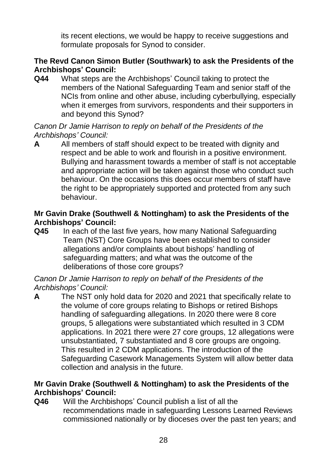its recent elections, we would be happy to receive suggestions and formulate proposals for Synod to consider.

## **The Revd Canon Simon Butler (Southwark) to ask the Presidents of the Archbishops' Council:**

**Q44** What steps are the Archbishops' Council taking to protect the members of the National Safeguarding Team and senior staff of the NCIs from online and other abuse, including cyberbullying, especially when it emerges from survivors, respondents and their supporters in and beyond this Synod?

#### *Canon Dr Jamie Harrison to reply on behalf of the Presidents of the Archbishops' Council:*

**A** All members of staff should expect to be treated with dignity and respect and be able to work and flourish in a positive environment. Bullying and harassment towards a member of staff is not acceptable and appropriate action will be taken against those who conduct such behaviour. On the occasions this does occur members of staff have the right to be appropriately supported and protected from any such behaviour.

## **Mr Gavin Drake (Southwell & Nottingham) to ask the Presidents of the Archbishops' Council:**

**Q45** In each of the last five years, how many National Safeguarding Team (NST) Core Groups have been established to consider allegations and/or complaints about bishops' handling of safeguarding matters; and what was the outcome of the deliberations of those core groups?

#### *Canon Dr Jamie Harrison to reply on behalf of the Presidents of the Archbishops' Council:*

**A** The NST only hold data for 2020 and 2021 that specifically relate to the volume of core groups relating to Bishops or retired Bishops handling of safeguarding allegations. In 2020 there were 8 core groups, 5 allegations were substantiated which resulted in 3 CDM applications. In 2021 there were 27 core groups, 12 allegations were unsubstantiated, 7 substantiated and 8 core groups are ongoing. This resulted in 2 CDM applications. The introduction of the Safeguarding Casework Managements System will allow better data collection and analysis in the future.

## **Mr Gavin Drake (Southwell & Nottingham) to ask the Presidents of the Archbishops' Council:**

**Q46** Will the Archbishops' Council publish a list of all the recommendations made in safeguarding Lessons Learned Reviews commissioned nationally or by dioceses over the past ten years; and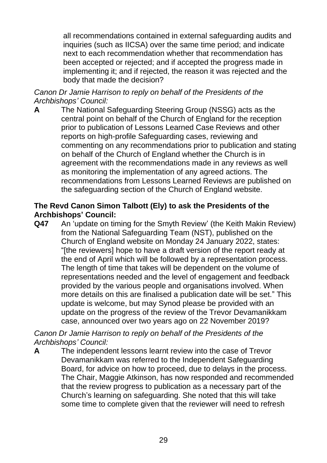all recommendations contained in external safeguarding audits and inquiries (such as IICSA) over the same time period; and indicate next to each recommendation whether that recommendation has been accepted or rejected; and if accepted the progress made in implementing it; and if rejected, the reason it was rejected and the body that made the decision?

*Canon Dr Jamie Harrison to reply on behalf of the Presidents of the Archbishops' Council:*

**A** The National Safeguarding Steering Group (NSSG) acts as the central point on behalf of the Church of England for the reception prior to publication of Lessons Learned Case Reviews and other reports on high-profile Safeguarding cases, reviewing and commenting on any recommendations prior to publication and stating on behalf of the Church of England whether the Church is in agreement with the recommendations made in any reviews as well as monitoring the implementation of any agreed actions. The recommendations from Lessons Learned Reviews are published on the safeguarding section of the Church of England website.

#### **The Revd Canon Simon Talbott (Ely) to ask the Presidents of the Archbishops' Council:**

**Q47** An 'update on timing for the Smyth Review' (the Keith Makin Review) from the National Safeguarding Team (NST), published on the Church of England website on Monday 24 January 2022, states: "[the reviewers] hope to have a draft version of the report ready at the end of April which will be followed by a representation process. The length of time that takes will be dependent on the volume of representations needed and the level of engagement and feedback provided by the various people and organisations involved. When more details on this are finalised a publication date will be set." This update is welcome, but may Synod please be provided with an update on the progress of the review of the Trevor Devamanikkam case, announced over two years ago on 22 November 2019?

*Canon Dr Jamie Harrison to reply on behalf of the Presidents of the Archbishops' Council:*

**A** The independent lessons learnt review into the case of Trevor Devamanikkam was referred to the Independent Safeguarding Board, for advice on how to proceed, due to delays in the process. The Chair, Maggie Atkinson, has now responded and recommended that the review progress to publication as a necessary part of the Church's learning on safeguarding. She noted that this will take some time to complete given that the reviewer will need to refresh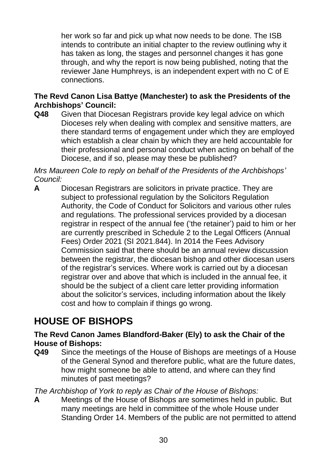her work so far and pick up what now needs to be done. The ISB intends to contribute an initial chapter to the review outlining why it has taken as long, the stages and personnel changes it has gone through, and why the report is now being published, noting that the reviewer Jane Humphreys, is an independent expert with no C of E connections.

## **The Revd Canon Lisa Battye (Manchester) to ask the Presidents of the Archbishops' Council:**

**Q48** Given that Diocesan Registrars provide key legal advice on which Dioceses rely when dealing with complex and sensitive matters, are there standard terms of engagement under which they are employed which establish a clear chain by which they are held accountable for their professional and personal conduct when acting on behalf of the Diocese, and if so, please may these be published?

*Mrs Maureen Cole to reply on behalf of the Presidents of the Archbishops' Council:* 

**A** Diocesan Registrars are solicitors in private practice. They are subject to professional regulation by the Solicitors Regulation Authority, the Code of Conduct for Solicitors and various other rules and regulations. The professional services provided by a diocesan registrar in respect of the annual fee ('the retainer') paid to him or her are currently prescribed in Schedule 2 to the Legal Officers (Annual Fees) Order 2021 (SI 2021.844). In 2014 the Fees Advisory Commission said that there should be an annual review discussion between the registrar, the diocesan bishop and other diocesan users of the registrar's services. Where work is carried out by a diocesan registrar over and above that which is included in the annual fee, it should be the subject of a client care letter providing information about the solicitor's services, including information about the likely cost and how to complain if things go wrong.

# **HOUSE OF BISHOPS**

**The Revd Canon James Blandford-Baker (Ely) to ask the Chair of the House of Bishops:**

**Q49** Since the meetings of the House of Bishops are meetings of a House of the General Synod and therefore public, what are the future dates, how might someone be able to attend, and where can they find minutes of past meetings?

*The Archbishop of York to reply as Chair of the House of Bishops:*

**A** Meetings of the House of Bishops are sometimes held in public. But many meetings are held in committee of the whole House under Standing Order 14. Members of the public are not permitted to attend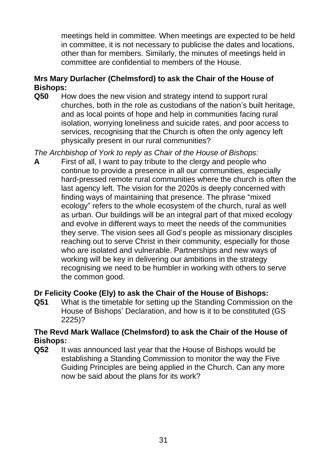meetings held in committee. When meetings are expected to be held in committee, it is not necessary to publicise the dates and locations, other than for members. Similarly, the minutes of meetings held in committee are confidential to members of the House.

## **Mrs Mary Durlacher (Chelmsford) to ask the Chair of the House of Bishops:**

**Q50** How does the new vision and strategy intend to support rural churches, both in the role as custodians of the nation's built heritage, and as local points of hope and help in communities facing rural isolation, worrying loneliness and suicide rates, and poor access to services, recognising that the Church is often the only agency left physically present in our rural communities?

*The Archbishop of York to reply as Chair of the House of Bishops:*

**A** First of all, I want to pay tribute to the clergy and people who continue to provide a presence in all our communities, especially hard-pressed remote rural communities where the church is often the last agency left. The vision for the 2020s is deeply concerned with finding ways of maintaining that presence. The phrase "mixed ecology" refers to the whole ecosystem of the church, rural as well as urban. Our buildings will be an integral part of that mixed ecology and evolve in different ways to meet the needs of the communities they serve. The vision sees all God's people as missionary disciples reaching out to serve Christ in their community, especially for those who are isolated and vulnerable. Partnerships and new ways of working will be key in delivering our ambitions in the strategy recognising we need to be humbler in working with others to serve the common good.

## **Dr Felicity Cooke (Ely) to ask the Chair of the House of Bishops:**

**Q51** What is the timetable for setting up the Standing Commission on the House of Bishops' Declaration, and how is it to be constituted (GS 2225)?

## **The Revd Mark Wallace (Chelmsford) to ask the Chair of the House of Bishops:**

**Q52** It was announced last year that the House of Bishops would be establishing a Standing Commission to monitor the way the Five Guiding Principles are being applied in the Church. Can any more now be said about the plans for its work?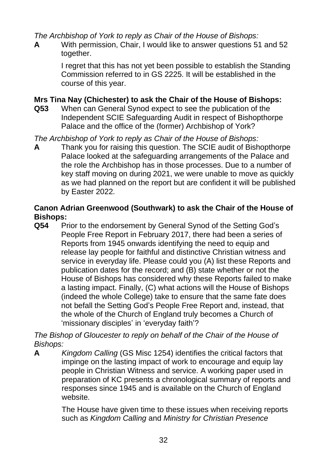*The Archbishop of York to reply as Chair of the House of Bishops:*

**A** With permission, Chair, I would like to answer questions 51 and 52 together.

> I regret that this has not yet been possible to establish the Standing Commission referred to in GS 2225. It will be established in the course of this year.

## **Mrs Tina Nay (Chichester) to ask the Chair of the House of Bishops:**

**Q53** When can General Synod expect to see the publication of the Independent SCIE Safeguarding Audit in respect of Bishopthorpe Palace and the office of the (former) Archbishop of York?

*The Archbishop of York to reply as Chair of the House of Bishops:*

**A** Thank you for raising this question. The SCIE audit of Bishopthorpe Palace looked at the safeguarding arrangements of the Palace and the role the Archbishop has in those processes. Due to a number of key staff moving on during 2021, we were unable to move as quickly as we had planned on the report but are confident it will be published by Easter 2022.

## **Canon Adrian Greenwood (Southwark) to ask the Chair of the House of Bishops:**

**Q54** Prior to the endorsement by General Synod of the Setting God's People Free Report in February 2017, there had been a series of Reports from 1945 onwards identifying the need to equip and release lay people for faithful and distinctive Christian witness and service in everyday life. Please could you (A) list these Reports and publication dates for the record; and (B) state whether or not the House of Bishops has considered why these Reports failed to make a lasting impact. Finally, (C) what actions will the House of Bishops (indeed the whole College) take to ensure that the same fate does not befall the Setting God's People Free Report and, instead, that the whole of the Church of England truly becomes a Church of 'missionary disciples' in 'everyday faith'?

*The Bishop of Gloucester to reply on behalf of the Chair of the House of Bishops:*

**A** *Kingdom Calling* (GS Misc 1254) identifies the critical factors that impinge on the lasting impact of work to encourage and equip lay people in Christian Witness and service. A working paper used in preparation of KC presents a chronological summary of reports and responses since 1945 and is available on the Church of England website.

> The House have given time to these issues when receiving reports such as *Kingdom Calling* and *Ministry for Christian Presence*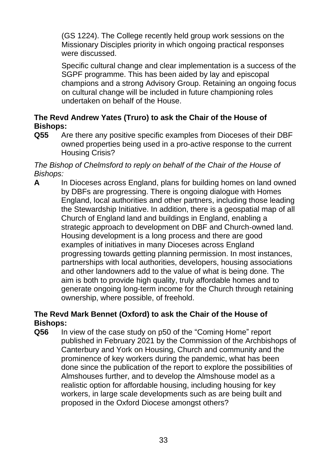(GS 1224). The College recently held group work sessions on the Missionary Disciples priority in which ongoing practical responses were discussed.

Specific cultural change and clear implementation is a success of the SGPF programme. This has been aided by lay and episcopal champions and a strong Advisory Group. Retaining an ongoing focus on cultural change will be included in future championing roles undertaken on behalf of the House.

## **The Revd Andrew Yates (Truro) to ask the Chair of the House of Bishops:**

**Q55** Are there any positive specific examples from Dioceses of their DBF owned properties being used in a pro-active response to the current Housing Crisis?

#### *The Bishop of Chelmsford to reply on behalf of the Chair of the House of Bishops:*

**A** In Dioceses across England, plans for building homes on land owned by DBFs are progressing. There is ongoing dialogue with Homes England, local authorities and other partners, including those leading the Stewardship Initiative. In addition, there is a geospatial map of all Church of England land and buildings in England, enabling a strategic approach to development on DBF and Church-owned land. Housing development is a long process and there are good examples of initiatives in many Dioceses across England progressing towards getting planning permission. In most instances, partnerships with local authorities, developers, housing associations and other landowners add to the value of what is being done. The aim is both to provide high quality, truly affordable homes and to generate ongoing long-term income for the Church through retaining ownership, where possible, of freehold.

## **The Revd Mark Bennet (Oxford) to ask the Chair of the House of Bishops:**

**Q56** In view of the case study on p50 of the "Coming Home" report published in February 2021 by the Commission of the Archbishops of Canterbury and York on Housing, Church and community and the prominence of key workers during the pandemic, what has been done since the publication of the report to explore the possibilities of Almshouses further, and to develop the Almshouse model as a realistic option for affordable housing, including housing for key workers, in large scale developments such as are being built and proposed in the Oxford Diocese amongst others?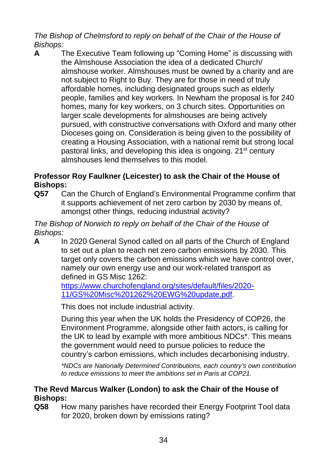*The Bishop of Chelmsford to reply on behalf of the Chair of the House of Bishops:*

**A** The Executive Team following up "Coming Home" is discussing with the Almshouse Association the idea of a dedicated Church/ almshouse worker. Almshouses must be owned by a charity and are not subject to Right to Buy. They are for those in need of truly affordable homes, including designated groups such as elderly people, families and key workers. In Newham the proposal is for 240 homes, many for key workers, on 3 church sites. Opportunities on larger scale developments for almshouses are being actively pursued, with constructive conversations with Oxford and many other Dioceses going on. Consideration is being given to the possibility of creating a Housing Association, with a national remit but strong local pastoral links, and developing this idea is ongoing. 21<sup>st</sup> century almshouses lend themselves to this model.

## **Professor Roy Faulkner (Leicester) to ask the Chair of the House of Bishops:**

**Q57** Can the Church of England's Environmental Programme confirm that it supports achievement of net zero carbon by 2030 by means of, amongst other things, reducing industrial activity?

## *The Bishop of Norwich to reply on behalf of the Chair of the House of Bishops:*

**A** In 2020 General Synod called on all parts of the Church of England to set out a plan to reach net zero carbon emissions by 2030. This target only covers the carbon emissions which we have control over, namely our own energy use and our work-related transport as defined in GS Misc 1262:

[https://www.churchofengland.org/sites/default/files/2020-](https://eur02.safelinks.protection.outlook.com/?url=https%3A%2F%2Fwww.churchofengland.org%2Fsites%2Fdefault%2Ffiles%2F2020-11%2FGS%2520Misc%25201262%2520EWG%2520update.pdf&data=04%7C01%7Cjo.chamberlain%40churchofengland.org%7C37085f7de4514eb710b708d9e4d04cf9%7C95e2463b3ab047b49ac1587c77ee84f0%7C0%7C0%7C637792407659267007%7CUnknown%7CTWFpbGZsb3d8eyJWIjoiMC4wLjAwMDAiLCJQIjoiV2luMzIiLCJBTiI6Ik1haWwiLCJXVCI6Mn0%3D%7C0&sdata=B%2FjPCtLbnneeUAESLvf7APNArVdDg92xuqfC2S%2BkttU%3D&reserved=0) [11/GS%20Misc%201262%20EWG%20update.pdf.](https://eur02.safelinks.protection.outlook.com/?url=https%3A%2F%2Fwww.churchofengland.org%2Fsites%2Fdefault%2Ffiles%2F2020-11%2FGS%2520Misc%25201262%2520EWG%2520update.pdf&data=04%7C01%7Cjo.chamberlain%40churchofengland.org%7C37085f7de4514eb710b708d9e4d04cf9%7C95e2463b3ab047b49ac1587c77ee84f0%7C0%7C0%7C637792407659267007%7CUnknown%7CTWFpbGZsb3d8eyJWIjoiMC4wLjAwMDAiLCJQIjoiV2luMzIiLCJBTiI6Ik1haWwiLCJXVCI6Mn0%3D%7C0&sdata=B%2FjPCtLbnneeUAESLvf7APNArVdDg92xuqfC2S%2BkttU%3D&reserved=0)

This does not include industrial activity.

During this year when the UK holds the Presidency of COP26, the Environment Programme, alongside other faith actors, is calling for the UK to lead by example with more ambitious NDCs\*. This means the government would need to pursue policies to reduce the country's carbon emissions, which includes decarbonising industry.

*\*NDCs are Nationally Determined Contributions, each country's own contribution to reduce emissions to meet the ambitions set in Paris at COP21.*

## **The Revd Marcus Walker (London) to ask the Chair of the House of Bishops:**

**Q58** How many parishes have recorded their Energy Footprint Tool data for 2020, broken down by emissions rating?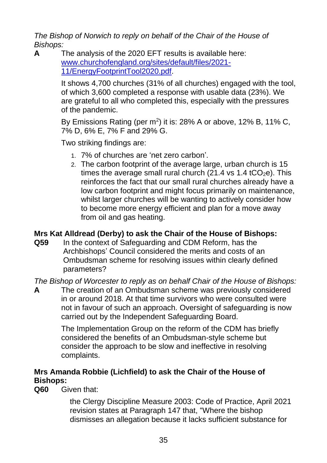*The Bishop of Norwich to reply on behalf of the Chair of the House of Bishops:*

**A** The analysis of the 2020 EFT results is available here: [www.churchofengland.org/sites/default/files/2021-](http://www.churchofengland.org/sites/default/files/2021-11/EnergyFootprintTool2020.pdf) [11/EnergyFootprintTool2020.pdf.](http://www.churchofengland.org/sites/default/files/2021-11/EnergyFootprintTool2020.pdf)

> It shows 4,700 churches (31% of all churches) engaged with the tool, of which 3,600 completed a response with usable data (23%). We are grateful to all who completed this, especially with the pressures of the pandemic.

By Emissions Rating (per  $m^2$ ) it is: 28% A or above, 12% B, 11% C, 7% D, 6% E, 7% F and 29% G.

Two striking findings are:

- 1. 7% of churches are 'net zero carbon'.
- 2. The carbon footprint of the average large, urban church is 15 times the average small rural church (21.4 vs 1.4 tCO<sub>2</sub>e). This reinforces the fact that our small rural churches already have a low carbon footprint and might focus primarily on maintenance, whilst larger churches will be wanting to actively consider how to become more energy efficient and plan for a move away from oil and gas heating.

## **Mrs Kat Alldread (Derby) to ask the Chair of the House of Bishops:**

**Q59** In the context of Safeguarding and CDM Reform, has the Archbishops' Council considered the merits and costs of an Ombudsman scheme for resolving issues within clearly defined parameters?

*The Bishop of Worcester to reply as on behalf Chair of the House of Bishops:*

**A** The creation of an Ombudsman scheme was previously considered in or around 2018. At that time survivors who were consulted were not in favour of such an approach. Oversight of safeguarding is now carried out by the Independent Safeguarding Board.

> The Implementation Group on the reform of the CDM has briefly considered the benefits of an Ombudsman-style scheme but consider the approach to be slow and ineffective in resolving complaints.

## **Mrs Amanda Robbie (Lichfield) to ask the Chair of the House of Bishops:**

**Q60** Given that:

the Clergy Discipline Measure 2003: Code of Practice, April 2021 revision states at Paragraph 147 that, "Where the bishop dismisses an allegation because it lacks sufficient substance for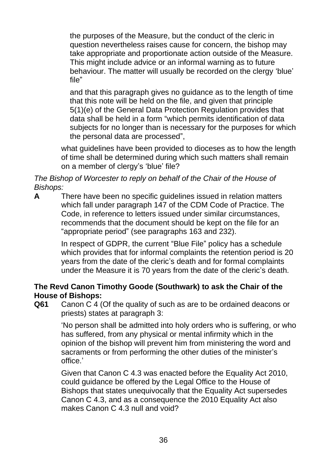the purposes of the Measure, but the conduct of the cleric in question nevertheless raises cause for concern, the bishop may take appropriate and proportionate action outside of the Measure. This might include advice or an informal warning as to future behaviour. The matter will usually be recorded on the clergy 'blue' file"

and that this paragraph gives no guidance as to the length of time that this note will be held on the file, and given that principle 5(1)(e) of the General Data Protection Regulation provides that data shall be held in a form "which permits identification of data subjects for no longer than is necessary for the purposes for which the personal data are processed",

what guidelines have been provided to dioceses as to how the length of time shall be determined during which such matters shall remain on a member of clergy's 'blue' file?

*The Bishop of Worcester to reply on behalf of the Chair of the House of Bishops:*

**A** There have been no specific guidelines issued in relation matters which fall under paragraph 147 of the CDM Code of Practice. The Code, in reference to letters issued under similar circumstances, recommends that the document should be kept on the file for an "appropriate period" (see paragraphs 163 and 232).

> In respect of GDPR, the current "Blue File" policy has a schedule which provides that for informal complaints the retention period is 20 years from the date of the cleric's death and for formal complaints under the Measure it is 70 years from the date of the cleric's death.

## **The Revd Canon Timothy Goode (Southwark) to ask the Chair of the House of Bishops:**

**Q61** Canon C 4 (Of the quality of such as are to be ordained deacons or priests) states at paragraph 3:

> 'No person shall be admitted into holy orders who is suffering, or who has suffered, from any physical or mental infirmity which in the opinion of the bishop will prevent him from ministering the word and sacraments or from performing the other duties of the minister's office.'

Given that Canon C 4.3 was enacted before the Equality Act 2010, could guidance be offered by the Legal Office to the House of Bishops that states unequivocally that the Equality Act supersedes Canon C 4.3, and as a consequence the 2010 Equality Act also makes Canon C 4.3 null and void?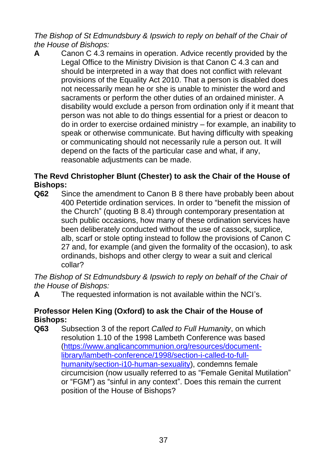*The Bishop of St Edmundsbury & Ipswich to reply on behalf of the Chair of the House of Bishops:*

**A** Canon C 4.3 remains in operation. Advice recently provided by the Legal Office to the Ministry Division is that Canon C 4.3 can and should be interpreted in a way that does not conflict with relevant provisions of the Equality Act 2010. That a person is disabled does not necessarily mean he or she is unable to minister the word and sacraments or perform the other duties of an ordained minister. A disability would exclude a person from ordination only if it meant that person was not able to do things essential for a priest or deacon to do in order to exercise ordained ministry – for example, an inability to speak or otherwise communicate. But having difficulty with speaking or communicating should not necessarily rule a person out. It will depend on the facts of the particular case and what, if any, reasonable adjustments can be made.

## **The Revd Christopher Blunt (Chester) to ask the Chair of the House of Bishops:**

**Q62** Since the amendment to Canon B 8 there have probably been about 400 Petertide ordination services. In order to "benefit the mission of the Church" (quoting B 8.4) through contemporary presentation at such public occasions, how many of these ordination services have been deliberately conducted without the use of cassock, surplice, alb, scarf or stole opting instead to follow the provisions of Canon C 27 and, for example (and given the formality of the occasion), to ask ordinands, bishops and other clergy to wear a suit and clerical collar?

*The Bishop of St Edmundsbury & Ipswich to reply on behalf of the Chair of the House of Bishops:*

**A** The requested information is not available within the NCI's.

#### **Professor Helen King (Oxford) to ask the Chair of the House of Bishops:**

**Q63** Subsection 3 of the report *Called to Full Humanity*, on which resolution 1.10 of the 1998 Lambeth Conference was based [\(https://www.anglicancommunion.org/resources/document](https://www.anglicancommunion.org/resources/document-library/lambeth-conference/1998/section-i-called-to-full-humanity/section-i10-human-sexuality)[library/lambeth-conference/1998/section-i-called-to-full](https://www.anglicancommunion.org/resources/document-library/lambeth-conference/1998/section-i-called-to-full-humanity/section-i10-human-sexuality)[humanity/section-i10-human-sexuality\)](https://www.anglicancommunion.org/resources/document-library/lambeth-conference/1998/section-i-called-to-full-humanity/section-i10-human-sexuality), condemns female circumcision (now usually referred to as "Female Genital Mutilation" or "FGM") as "sinful in any context". Does this remain the current position of the House of Bishops?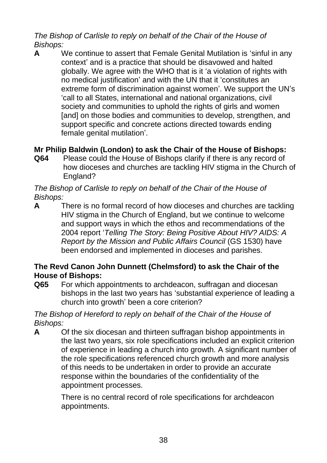*The Bishop of Carlisle to reply on behalf of the Chair of the House of Bishops:*

**A** We continue to assert that Female Genital Mutilation is 'sinful in any context' and is a practice that should be disavowed and halted globally. We agree with the WHO that is it 'a violation of rights with no medical justification' and with the UN that it 'constitutes an extreme form of discrimination against women'. We support the UN's 'call to all States, international and national organizations, civil society and communities to uphold the rights of girls and women [and] on those bodies and communities to develop, strengthen, and support specific and concrete actions directed towards ending female genital mutilation'.

## **Mr Philip Baldwin (London) to ask the Chair of the House of Bishops:**

**Q64** Please could the House of Bishops clarify if there is any record of how dioceses and churches are tackling HIV stigma in the Church of England?

#### *The Bishop of Carlisle to reply on behalf of the Chair of the House of Bishops:*

**A** There is no formal record of how dioceses and churches are tackling HIV stigma in the Church of England, but we continue to welcome and support ways in which the ethos and recommendations of the 2004 report '*Telling The Story: Being Positive About HIV? AIDS: A Report by the Mission and Public Affairs Council* (GS 1530) have been endorsed and implemented in dioceses and parishes.

## **The Revd Canon John Dunnett (Chelmsford) to ask the Chair of the House of Bishops:**

**Q65** For which appointments to archdeacon, suffragan and diocesan bishops in the last two years has 'substantial experience of leading a church into growth' been a core criterion?

#### *The Bishop of Hereford to reply on behalf of the Chair of the House of Bishops:*

**A** Of the six diocesan and thirteen suffragan bishop appointments in the last two years, six role specifications included an explicit criterion of experience in leading a church into growth. A significant number of the role specifications referenced church growth and more analysis of this needs to be undertaken in order to provide an accurate response within the boundaries of the confidentiality of the appointment processes.

> There is no central record of role specifications for archdeacon appointments.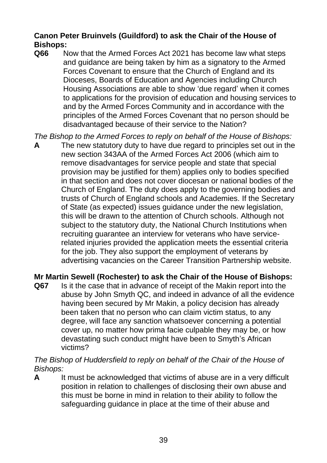## **Canon Peter Bruinvels (Guildford) to ask the Chair of the House of Bishops:**

**Q66** Now that the Armed Forces Act 2021 has become law what steps and guidance are being taken by him as a signatory to the Armed Forces Covenant to ensure that the Church of England and its Dioceses, Boards of Education and Agencies including Church Housing Associations are able to show 'due regard' when it comes to applications for the provision of education and housing services to and by the Armed Forces Community and in accordance with the principles of the Armed Forces Covenant that no person should be disadvantaged because of their service to the Nation?

*The Bishop to the Armed Forces to reply on behalf of the House of Bishops:*

**A** The new statutory duty to have due regard to principles set out in the new section 343AA of the Armed Forces Act 2006 (which aim to remove disadvantages for service people and state that special provision may be justified for them) applies only to bodies specified in that section and does not cover diocesan or national bodies of the Church of England. The duty does apply to the governing bodies and trusts of Church of England schools and Academies. If the Secretary of State (as expected) issues guidance under the new legislation, this will be drawn to the attention of Church schools. Although not subject to the statutory duty, the National Church Institutions when recruiting guarantee an interview for veterans who have servicerelated injuries provided the application meets the essential criteria for the job. They also support the employment of veterans by advertising vacancies on the Career Transition Partnership website.

## **Mr Martin Sewell (Rochester) to ask the Chair of the House of Bishops:**

**Q67** Is it the case that in advance of receipt of the Makin report into the abuse by John Smyth QC, and indeed in advance of all the evidence having been secured by Mr Makin, a policy decision has already been taken that no person who can claim victim status, to any degree, will face any sanction whatsoever concerning a potential cover up, no matter how prima facie culpable they may be, or how devastating such conduct might have been to Smyth's African victims?

#### *The Bishop of Huddersfield to reply on behalf of the Chair of the House of Bishops:*

**A** It must be acknowledged that victims of abuse are in a very difficult position in relation to challenges of disclosing their own abuse and this must be borne in mind in relation to their ability to follow the safeguarding guidance in place at the time of their abuse and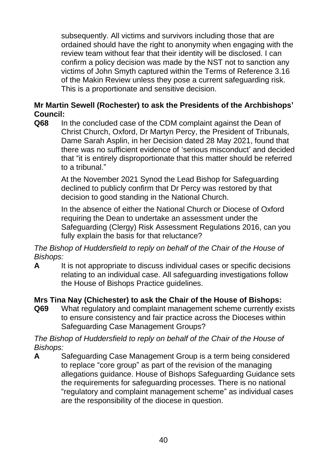subsequently. All victims and survivors including those that are ordained should have the right to anonymity when engaging with the review team without fear that their identity will be disclosed. I can confirm a policy decision was made by the NST not to sanction any victims of John Smyth captured within the Terms of Reference 3.16 of the Makin Review unless they pose a current safeguarding risk. This is a proportionate and sensitive decision.

#### **Mr Martin Sewell (Rochester) to ask the Presidents of the Archbishops' Council:**

**Q68** In the concluded case of the CDM complaint against the Dean of Christ Church, Oxford, Dr Martyn Percy, the President of Tribunals, Dame Sarah Asplin, in her Decision dated 28 May 2021, found that there was no sufficient evidence of 'serious misconduct' and decided that "it is entirely disproportionate that this matter should be referred to a tribunal."

> At the November 2021 Synod the Lead Bishop for Safeguarding declined to publicly confirm that Dr Percy was restored by that decision to good standing in the National Church.

In the absence of either the National Church or Diocese of Oxford requiring the Dean to undertake an assessment under the Safeguarding (Clergy) Risk Assessment Regulations 2016, can you fully explain the basis for that reluctance?

*The Bishop of Huddersfield to reply on behalf of the Chair of the House of Bishops:*

**A** It is not appropriate to discuss individual cases or specific decisions relating to an individual case. All safeguarding investigations follow the House of Bishops Practice guidelines.

## **Mrs Tina Nay (Chichester) to ask the Chair of the House of Bishops:**

**Q69** What regulatory and complaint management scheme currently exists to ensure consistency and fair practice across the Dioceses within Safeguarding Case Management Groups?

#### *The Bishop of Huddersfield to reply on behalf of the Chair of the House of Bishops:*

**A** Safeguarding Case Management Group is a term being considered to replace "core group" as part of the revision of the managing allegations guidance. House of Bishops Safeguarding Guidance sets the requirements for safeguarding processes. There is no national "regulatory and complaint management scheme" as individual cases are the responsibility of the diocese in question.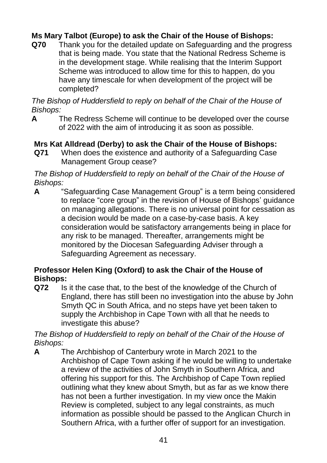## **Ms Mary Talbot (Europe) to ask the Chair of the House of Bishops:**

**Q70** Thank you for the detailed update on Safeguarding and the progress that is being made. You state that the National Redress Scheme is in the development stage. While realising that the Interim Support Scheme was introduced to allow time for this to happen, do you have any timescale for when development of the project will be completed?

*The Bishop of Huddersfield to reply on behalf of the Chair of the House of Bishops:*

**A** The Redress Scheme will continue to be developed over the course of 2022 with the aim of introducing it as soon as possible.

## **Mrs Kat Alldread (Derby) to ask the Chair of the House of Bishops:**

**Q71** When does the existence and authority of a Safeguarding Case Management Group cease?

*The Bishop of Huddersfield to reply on behalf of the Chair of the House of Bishops:*

**A** "Safeguarding Case Management Group" is a term being considered to replace "core group" in the revision of House of Bishops' guidance on managing allegations. There is no universal point for cessation as a decision would be made on a case-by-case basis. A key consideration would be satisfactory arrangements being in place for any risk to be managed. Thereafter, arrangements might be monitored by the Diocesan Safeguarding Adviser through a Safeguarding Agreement as necessary.

## **Professor Helen King (Oxford) to ask the Chair of the House of Bishops:**

**Q72** Is it the case that, to the best of the knowledge of the Church of England, there has still been no investigation into the abuse by John Smyth QC in South Africa, and no steps have yet been taken to supply the Archbishop in Cape Town with all that he needs to investigate this abuse?

*The Bishop of Huddersfield to reply on behalf of the Chair of the House of Bishops:*

**A** The Archbishop of Canterbury wrote in March 2021 to the Archbishop of Cape Town asking if he would be willing to undertake a review of the activities of John Smyth in Southern Africa, and offering his support for this. The Archbishop of Cape Town replied outlining what they knew about Smyth, but as far as we know there has not been a further investigation. In my view once the Makin Review is completed, subject to any legal constraints, as much information as possible should be passed to the Anglican Church in Southern Africa, with a further offer of support for an investigation.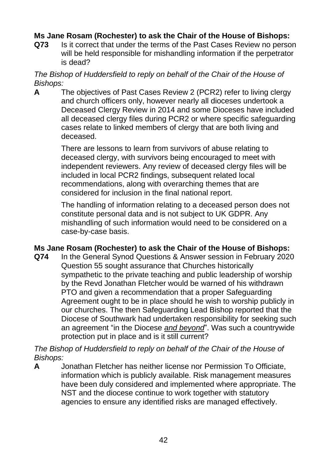## **Ms Jane Rosam (Rochester) to ask the Chair of the House of Bishops:**

**Q73** Is it correct that under the terms of the Past Cases Review no person will be held responsible for mishandling information if the perpetrator is dead?

#### *The Bishop of Huddersfield to reply on behalf of the Chair of the House of Bishops:*

**A** The objectives of Past Cases Review 2 (PCR2) refer to living clergy and church officers only, however nearly all dioceses undertook a Deceased Clergy Review in 2014 and some Dioceses have included all deceased clergy files during PCR2 or where specific safeguarding cases relate to linked members of clergy that are both living and deceased.

> There are lessons to learn from survivors of abuse relating to deceased clergy, with survivors being encouraged to meet with independent reviewers. Any review of deceased clergy files will be included in local PCR2 findings, subsequent related local recommendations, along with overarching themes that are considered for inclusion in the final national report.

The handling of information relating to a deceased person does not constitute personal data and is not subject to UK GDPR. Any mishandling of such information would need to be considered on a case-by-case basis.

## **Ms Jane Rosam (Rochester) to ask the Chair of the House of Bishops:**

**Q74** In the General Synod Questions & Answer session in February 2020 Question 55 sought assurance that Churches historically sympathetic to the private teaching and public leadership of worship by the Revd Jonathan Fletcher would be warned of his withdrawn PTO and given a recommendation that a proper Safeguarding Agreement ought to be in place should he wish to worship publicly in our churches. The then Safeguarding Lead Bishop reported that the Diocese of Southwark had undertaken responsibility for seeking such an agreement "in the Diocese *and beyond*". Was such a countrywide protection put in place and is it still current?

*The Bishop of Huddersfield to reply on behalf of the Chair of the House of Bishops:*

**A** Jonathan Fletcher has neither license nor Permission To Officiate, information which is publicly available. Risk management measures have been duly considered and implemented where appropriate. The NST and the diocese continue to work together with statutory agencies to ensure any identified risks are managed effectively.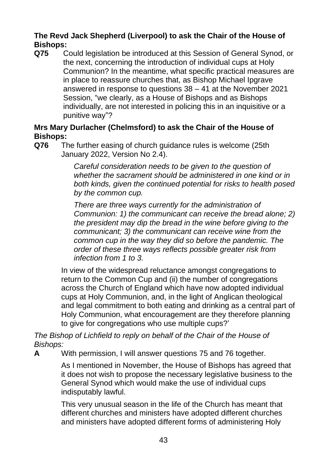## **The Revd Jack Shepherd (Liverpool) to ask the Chair of the House of Bishops:**

**Q75** Could legislation be introduced at this Session of General Synod, or the next, concerning the introduction of individual cups at Holy Communion? In the meantime, what specific practical measures are in place to reassure churches that, as Bishop Michael Ipgrave answered in response to questions 38 – 41 at the November 2021 Session, "we clearly, as a House of Bishops and as Bishops individually, are not interested in policing this in an inquisitive or a punitive way"?

#### **Mrs Mary Durlacher (Chelmsford) to ask the Chair of the House of Bishops:**

**Q76** The further easing of church guidance rules is welcome (25th January 2022, Version No 2.4).

> *Careful consideration needs to be given to the question of whether the sacrament should be administered in one kind or in both kinds, given the continued potential for risks to health posed by the common cup.*

> *There are three ways currently for the administration of Communion: 1) the communicant can receive the bread alone; 2) the president may dip the bread in the wine before giving to the communicant; 3) the communicant can receive wine from the common cup in the way they did so before the pandemic. The order of these three ways reflects possible greater risk from infection from 1 to 3.*

In view of the widespread reluctance amongst congregations to return to the Common Cup and (ii) the number of congregations across the Church of England which have now adopted individual cups at Holy Communion, and, in the light of Anglican theological and legal commitment to both eating and drinking as a central part of Holy Communion, what encouragement are they therefore planning to give for congregations who use multiple cups?'

*The Bishop of Lichfield to reply on behalf of the Chair of the House of Bishops:*

**A** With permission, I will answer questions 75 and 76 together.

As I mentioned in November, the House of Bishops has agreed that it does not wish to propose the necessary legislative business to the General Synod which would make the use of individual cups indisputably lawful.

This very unusual season in the life of the Church has meant that different churches and ministers have adopted different churches and ministers have adopted different forms of administering Holy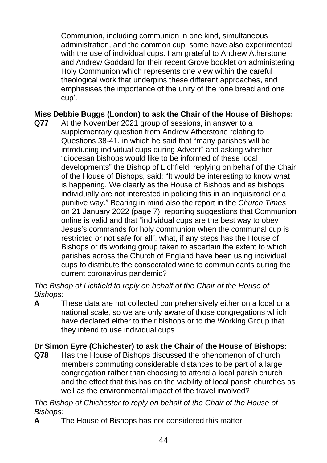Communion, including communion in one kind, simultaneous administration, and the common cup; some have also experimented with the use of individual cups. I am grateful to Andrew Atherstone and Andrew Goddard for their recent Grove booklet on administering Holy Communion which represents one view within the careful theological work that underpins these different approaches, and emphasises the importance of the unity of the 'one bread and one cup'.

## **Miss Debbie Buggs (London) to ask the Chair of the House of Bishops:**

**Q77** At the November 2021 group of sessions, in answer to a supplementary question from Andrew Atherstone relating to Questions 38-41, in which he said that "many parishes will be introducing individual cups during Advent" and asking whether "diocesan bishops would like to be informed of these local developments" the Bishop of Lichfield, replying on behalf of the Chair of the House of Bishops, said: "It would be interesting to know what is happening. We clearly as the House of Bishops and as bishops individually are not interested in policing this in an inquisitorial or a punitive way." Bearing in mind also the report in the *Church Times* on 21 January 2022 (page 7), reporting suggestions that Communion online is valid and that "individual cups are the best way to obey Jesus's commands for holy communion when the communal cup is restricted or not safe for all", what, if any steps has the House of Bishops or its working group taken to ascertain the extent to which parishes across the Church of England have been using individual cups to distribute the consecrated wine to communicants during the current coronavirus pandemic?

#### *The Bishop of Lichfield to reply on behalf of the Chair of the House of Bishops:*

**A** These data are not collected comprehensively either on a local or a national scale, so we are only aware of those congregations which have declared either to their bishops or to the Working Group that they intend to use individual cups.

## **Dr Simon Eyre (Chichester) to ask the Chair of the House of Bishops:**

**Q78** Has the House of Bishops discussed the phenomenon of church members commuting considerable distances to be part of a large congregation rather than choosing to attend a local parish church and the effect that this has on the viability of local parish churches as well as the environmental impact of the travel involved?

#### *The Bishop of Chichester to reply on behalf of the Chair of the House of Bishops:*

**A** The House of Bishops has not considered this matter.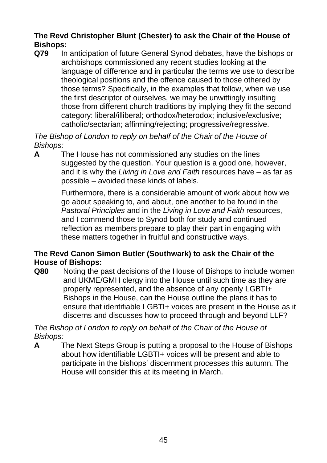## **The Revd Christopher Blunt (Chester) to ask the Chair of the House of Bishops:**

**Q79** In anticipation of future General Synod debates, have the bishops or archbishops commissioned any recent studies looking at the language of difference and in particular the terms we use to describe theological positions and the offence caused to those othered by those terms? Specifically, in the examples that follow, when we use the first descriptor of ourselves, we may be unwittingly insulting those from different church traditions by implying they fit the second category: liberal/illiberal; orthodox/heterodox; inclusive/exclusive; catholic/sectarian; affirming/rejecting; progressive/regressive.

*The Bishop of London to reply on behalf of the Chair of the House of Bishops:*

**A** The House has not commissioned any studies on the lines suggested by the question. Your question is a good one, however, and it is why the *Living in Love and Faith* resources have – as far as possible – avoided these kinds of labels.

> Furthermore, there is a considerable amount of work about how we go about speaking to, and about, one another to be found in the *Pastoral Principles* and in the *Living in Love and Faith* resources, and I commend those to Synod both for study and continued reflection as members prepare to play their part in engaging with these matters together in fruitful and constructive ways.

## **The Revd Canon Simon Butler (Southwark) to ask the Chair of the House of Bishops:**

**Q80** Noting the past decisions of the House of Bishops to include women and UKME/GMH clergy into the House until such time as they are properly represented, and the absence of any openly LGBTI+ Bishops in the House, can the House outline the plans it has to ensure that identifiable LGBTI+ voices are present in the House as it discerns and discusses how to proceed through and beyond LLF?

*The Bishop of London to reply on behalf of the Chair of the House of Bishops:*

**A** The Next Steps Group is putting a proposal to the House of Bishops about how identifiable LGBTI+ voices will be present and able to participate in the bishops' discernment processes this autumn. The House will consider this at its meeting in March.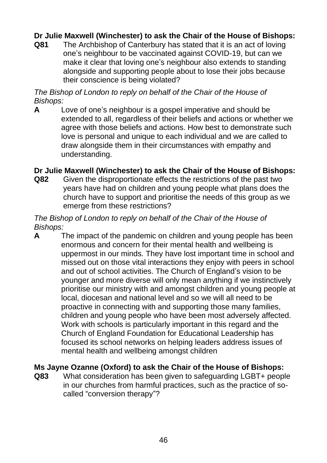## **Dr Julie Maxwell (Winchester) to ask the Chair of the House of Bishops:**

**Q81** The Archbishop of Canterbury has stated that it is an act of loving one's neighbour to be vaccinated against COVID-19, but can we make it clear that loving one's neighbour also extends to standing alongside and supporting people about to lose their jobs because their conscience is being violated?

*The Bishop of London to reply on behalf of the Chair of the House of Bishops:*

**A** Love of one's neighbour is a gospel imperative and should be extended to all, regardless of their beliefs and actions or whether we agree with those beliefs and actions. How best to demonstrate such love is personal and unique to each individual and we are called to draw alongside them in their circumstances with empathy and understanding.

#### **Dr Julie Maxwell (Winchester) to ask the Chair of the House of Bishops:**

**Q82** Given the disproportionate effects the restrictions of the past two years have had on children and young people what plans does the church have to support and prioritise the needs of this group as we emerge from these restrictions?

#### *The Bishop of London to reply on behalf of the Chair of the House of Bishops:*

**A** The impact of the pandemic on children and young people has been enormous and concern for their mental health and wellbeing is uppermost in our minds. They have lost important time in school and missed out on those vital interactions they enjoy with peers in school and out of school activities. The Church of England's vision to be younger and more diverse will only mean anything if we instinctively prioritise our ministry with and amongst children and young people at local, diocesan and national level and so we will all need to be proactive in connecting with and supporting those many families, children and young people who have been most adversely affected. Work with schools is particularly important in this regard and the Church of England Foundation for Educational Leadership has focused its school networks on helping leaders address issues of mental health and wellbeing amongst children

#### **Ms Jayne Ozanne (Oxford) to ask the Chair of the House of Bishops:**

**Q83** What consideration has been given to safeguarding LGBT+ people in our churches from harmful practices, such as the practice of socalled "conversion therapy"?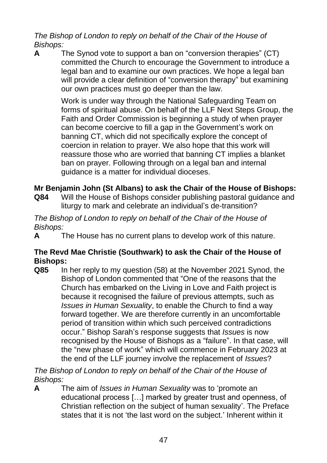*The Bishop of London to reply on behalf of the Chair of the House of Bishops:*

**A** The Synod vote to support a ban on "conversion therapies" (CT) committed the Church to encourage the Government to introduce a legal ban and to examine our own practices. We hope a legal ban will provide a clear definition of "conversion therapy" but examining our own practices must go deeper than the law.

> Work is under way through the National Safeguarding Team on forms of spiritual abuse. On behalf of the LLF Next Steps Group, the Faith and Order Commission is beginning a study of when prayer can become coercive to fill a gap in the Government's work on banning CT, which did not specifically explore the concept of coercion in relation to prayer. We also hope that this work will reassure those who are worried that banning CT implies a blanket ban on prayer. Following through on a legal ban and internal guidance is a matter for individual dioceses.

## **Mr Benjamin John (St Albans) to ask the Chair of the House of Bishops:**

**Q84** Will the House of Bishops consider publishing pastoral guidance and liturgy to mark and celebrate an individual's de-transition?

#### *The Bishop of London to reply on behalf of the Chair of the House of Bishops:*

**A** The House has no current plans to develop work of this nature.

## **The Revd Mae Christie (Southwark) to ask the Chair of the House of Bishops:**

**Q85** In her reply to my question (58) at the November 2021 Synod, the Bishop of London commented that "One of the reasons that the Church has embarked on the Living in Love and Faith project is because it recognised the failure of previous attempts, such as *Issues in Human Sexuality*, to enable the Church to find a way forward together. We are therefore currently in an uncomfortable period of transition within which such perceived contradictions occur." Bishop Sarah's response suggests that *Issues* is now recognised by the House of Bishops as a "failure". In that case, will the "new phase of work" which will commence in February 2023 at the end of the LLF journey involve the replacement of *Issues*?

*The Bishop of London to reply on behalf of the Chair of the House of Bishops:*

**A** The aim of *Issues in Human Sexuality* was to 'promote an educational process […] marked by greater trust and openness, of Christian reflection on the subject of human sexuality'. The Preface states that it is not 'the last word on the subject.' Inherent within it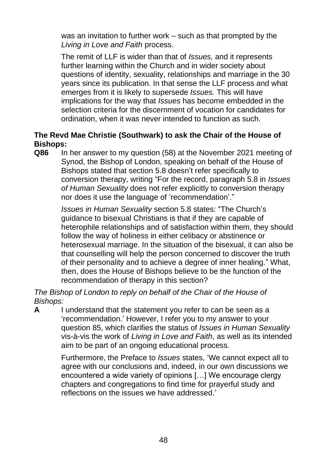was an invitation to further work – such as that prompted by the *Living in Love and Faith* process.

The remit of LLF is wider than that of *Issues,* and it represents further learning within the Church and in wider society about questions of identity, sexuality, relationships and marriage in the 30 years since its publication. In that sense the LLF process and what emerges from it is likely to supersede *Issues.* This will have implications for the way that *Issues* has become embedded in the selection criteria for the discernment of vocation for candidates for ordination, when it was never intended to function as such.

## **The Revd Mae Christie (Southwark) to ask the Chair of the House of Bishops:**

**Q86** In her answer to my question (58) at the November 2021 meeting of Synod, the Bishop of London, speaking on behalf of the House of Bishops stated that section 5.8 doesn't refer specifically to conversion therapy, writing "For the record, paragraph 5.8 in *Issues of Human Sexuality* does not refer explicitly to conversion therapy nor does it use the language of 'recommendation'."

> *Issues in Human Sexuality* section 5.8 states: "The Church's guidance to bisexual Christians is that if they are capable of heterophile relationships and of satisfaction within them, they should follow the way of holiness in either celibacy or abstinence or heterosexual marriage. In the situation of the bisexual, it can also be that counselling will help the person concerned to discover the truth of their personality and to achieve a degree of inner healing." What, then, does the House of Bishops believe to be the function of the recommendation of therapy in this section?

*The Bishop of London to reply on behalf of the Chair of the House of Bishops:*

**A** I understand that the statement you refer to can be seen as a 'recommendation.' However, I refer you to my answer to your question 85, which clarifies the status of *Issues in Human Sexuality*  vis-à-vis the work of *Living in Love and Faith*, as well as its intended aim to be part of an ongoing educational process.

> Furthermore, the Preface to *Issues* states, 'We cannot expect all to agree with our conclusions and, indeed, in our own discussions we encountered a wide variety of opinions […] We encourage clergy chapters and congregations to find time for prayerful study and reflections on the issues we have addressed.'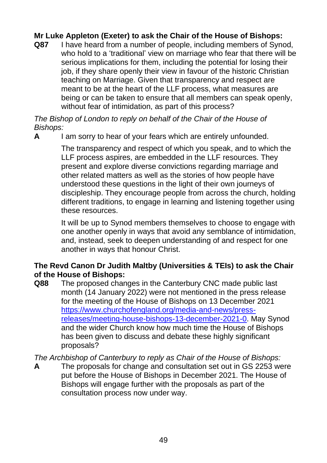## **Mr Luke Appleton (Exeter) to ask the Chair of the House of Bishops:**

**Q87** I have heard from a number of people, including members of Synod, who hold to a 'traditional' view on marriage who fear that there will be serious implications for them, including the potential for losing their job, if they share openly their view in favour of the historic Christian teaching on Marriage. Given that transparency and respect are meant to be at the heart of the LLF process, what measures are being or can be taken to ensure that all members can speak openly, without fear of intimidation, as part of this process?

*The Bishop of London to reply on behalf of the Chair of the House of Bishops:*

**A** I am sorry to hear of your fears which are entirely unfounded.

The transparency and respect of which you speak, and to which the LLF process aspires, are embedded in the LLF resources. They present and explore diverse convictions regarding marriage and other related matters as well as the stories of how people have understood these questions in the light of their own journeys of discipleship. They encourage people from across the church, holding different traditions, to engage in learning and listening together using these resources.

It will be up to Synod members themselves to choose to engage with one another openly in ways that avoid any semblance of intimidation, and, instead, seek to deepen understanding of and respect for one another in ways that honour Christ.

#### **The Revd Canon Dr Judith Maltby (Universities & TEIs) to ask the Chair of the House of Bishops:**

**Q88** The proposed changes in the Canterbury CNC made public last month (14 January 2022) were not mentioned in the press release for the meeting of the House of Bishops on 13 December 2021 [https://www.churchofengland.org/media-and-news/press](https://www.churchofengland.org/media-and-news/press-releases/meeting-house-bishops-13-december-2021-0)[releases/meeting-house-bishops-13-december-2021-0.](https://www.churchofengland.org/media-and-news/press-releases/meeting-house-bishops-13-december-2021-0) May Synod and the wider Church know how much time the House of Bishops has been given to discuss and debate these highly significant proposals?

*The Archbishop of Canterbury to reply as Chair of the House of Bishops:*

**A** The proposals for change and consultation set out in GS 2253 were put before the House of Bishops in December 2021. The House of Bishops will engage further with the proposals as part of the consultation process now under way.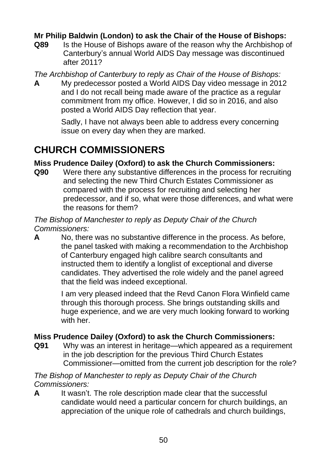## **Mr Philip Baldwin (London) to ask the Chair of the House of Bishops:**

**Q89** Is the House of Bishops aware of the reason why the Archbishop of Canterbury's annual World AIDS Day message was discontinued after 2011?

*The Archbishop of Canterbury to reply as Chair of the House of Bishops:*

**A** My predecessor posted a World AIDS Day video message in 2012 and I do not recall being made aware of the practice as a regular commitment from my office. However, I did so in 2016, and also posted a World AIDS Day reflection that year.

> Sadly, I have not always been able to address every concerning issue on every day when they are marked.

## **CHURCH COMMISSIONERS**

#### **Miss Prudence Dailey (Oxford) to ask the Church Commissioners:**

**Q90** Were there any substantive differences in the process for recruiting and selecting the new Third Church Estates Commissioner as compared with the process for recruiting and selecting her predecessor, and if so, what were those differences, and what were the reasons for them?

#### *The Bishop of Manchester to reply as Deputy Chair of the Church Commissioners:*

**A** No, there was no substantive difference in the process. As before, the panel tasked with making a recommendation to the Archbishop of Canterbury engaged high calibre search consultants and instructed them to identify a longlist of exceptional and diverse candidates. They advertised the role widely and the panel agreed that the field was indeed exceptional.

> I am very pleased indeed that the Revd Canon Flora Winfield came through this thorough process. She brings outstanding skills and huge experience, and we are very much looking forward to working with her.

## **Miss Prudence Dailey (Oxford) to ask the Church Commissioners:**

**Q91** Why was an interest in heritage—which appeared as a requirement in the job description for the previous Third Church Estates Commissioner—omitted from the current job description for the role?

#### *The Bishop of Manchester to reply as Deputy Chair of the Church Commissioners:*

**A** It wasn't. The role description made clear that the successful candidate would need a particular concern for church buildings, an appreciation of the unique role of cathedrals and church buildings,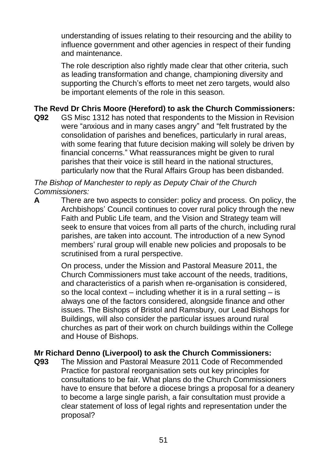understanding of issues relating to their resourcing and the ability to influence government and other agencies in respect of their funding and maintenance.

The role description also rightly made clear that other criteria, such as leading transformation and change, championing diversity and supporting the Church's efforts to meet net zero targets, would also be important elements of the role in this season.

## **The Revd Dr Chris Moore (Hereford) to ask the Church Commissioners:**

**Q92** GS Misc 1312 has noted that respondents to the Mission in Revision were "anxious and in many cases angry" and "felt frustrated by the consolidation of parishes and benefices, particularly in rural areas, with some fearing that future decision making will solely be driven by financial concerns." What reassurances might be given to rural parishes that their voice is still heard in the national structures, particularly now that the Rural Affairs Group has been disbanded.

*The Bishop of Manchester to reply as Deputy Chair of the Church Commissioners:* 

**A** There are two aspects to consider: policy and process. On policy, the Archbishops' Council continues to cover rural policy through the new Faith and Public Life team, and the Vision and Strategy team will seek to ensure that voices from all parts of the church, including rural parishes, are taken into account. The introduction of a new Synod members' rural group will enable new policies and proposals to be scrutinised from a rural perspective.

> On process, under the Mission and Pastoral Measure 2011, the Church Commissioners must take account of the needs, traditions, and characteristics of a parish when re-organisation is considered, so the local context – including whether it is in a rural setting – is always one of the factors considered, alongside finance and other issues. The Bishops of Bristol and Ramsbury, our Lead Bishops for Buildings, will also consider the particular issues around rural churches as part of their work on church buildings within the College and House of Bishops.

#### **Mr Richard Denno (Liverpool) to ask the Church Commissioners:**

**Q93** The Mission and Pastoral Measure 2011 Code of Recommended Practice for pastoral reorganisation sets out key principles for consultations to be fair. What plans do the Church Commissioners have to ensure that before a diocese brings a proposal for a deanery to become a large single parish, a fair consultation must provide a clear statement of loss of legal rights and representation under the proposal?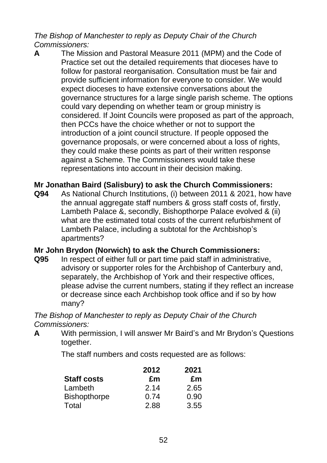*The Bishop of Manchester to reply as Deputy Chair of the Church Commissioners:* 

**A** The Mission and Pastoral Measure 2011 (MPM) and the Code of Practice set out the detailed requirements that dioceses have to follow for pastoral reorganisation. Consultation must be fair and provide sufficient information for everyone to consider. We would expect dioceses to have extensive conversations about the governance structures for a large single parish scheme. The options could vary depending on whether team or group ministry is considered. If Joint Councils were proposed as part of the approach, then PCCs have the choice whether or not to support the introduction of a joint council structure. If people opposed the governance proposals, or were concerned about a loss of rights, they could make these points as part of their written response against a Scheme. The Commissioners would take these representations into account in their decision making.

#### **Mr Jonathan Baird (Salisbury) to ask the Church Commissioners:**

**Q94** As National Church Institutions, (i) between 2011 & 2021, how have the annual aggregate staff numbers & gross staff costs of, firstly, Lambeth Palace &, secondly, Bishopthorpe Palace evolved & (ii) what are the estimated total costs of the current refurbishment of Lambeth Palace, including a subtotal for the Archbishop's apartments?

#### **Mr John Brydon (Norwich) to ask the Church Commissioners:**

**Q95** In respect of either full or part time paid staff in administrative, advisory or supporter roles for the Archbishop of Canterbury and, separately, the Archbishop of York and their respective offices, please advise the current numbers, stating if they reflect an increase or decrease since each Archbishop took office and if so by how many?

*The Bishop of Manchester to reply as Deputy Chair of the Church Commissioners:*

**A** With permission, I will answer Mr Baird's and Mr Brydon's Questions together.

The staff numbers and costs requested are as follows:

| <b>Staff costs</b>  | 2012<br>£m | 2021<br>£m |
|---------------------|------------|------------|
|                     |            |            |
| <b>Bishopthorpe</b> | 0.74       | 0.90       |
| Total               | 2.88       | 3.55       |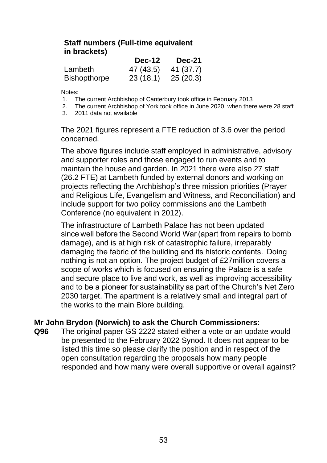#### **Staff numbers (Full-time equivalent in brackets)**

|                     | Dec-12    | <b>Dec-21</b> |
|---------------------|-----------|---------------|
| Lambeth             | 47 (43.5) | 41 (37.7)     |
| <b>Bishopthorpe</b> | 23(18.1)  | 25(20.3)      |

Notes:

- 1. The current Archbishop of Canterbury took office in February 2013
- 2. The current Archbishop of York took office in June 2020, when there were 28 staff
- 3. 2011 data not available

The 2021 figures represent a FTE reduction of 3.6 over the period concerned.

The above figures include staff employed in administrative, advisory and supporter roles and those engaged to run events and to maintain the house and garden. In 2021 there were also 27 staff (26.2 FTE) at Lambeth funded by external donors and working on projects reflecting the Archbishop's three mission priorities (Prayer and Religious Life, Evangelism and Witness, and Reconciliation) and include support for two policy commissions and the Lambeth Conference (no equivalent in 2012).

The infrastructure of Lambeth Palace has not been updated since well before the Second World War (apart from repairs to bomb damage), and is at high risk of catastrophic failure, irreparably damaging the fabric of the building and its historic contents.  Doing nothing is not an option. The project budget of £27million covers a scope of works which is focused on ensuring the Palace is a safe and secure place to live and work, as well as improving accessibility and to be a pioneer for sustainability as part of the Church's Net Zero 2030 target. The apartment is a relatively small and integral part of the works to the main Blore building.

#### **Mr John Brydon (Norwich) to ask the Church Commissioners:**

**Q96** The original paper GS 2222 stated either a vote or an update would be presented to the February 2022 Synod. It does not appear to be listed this time so please clarify the position and in respect of the open consultation regarding the proposals how many people responded and how many were overall supportive or overall against?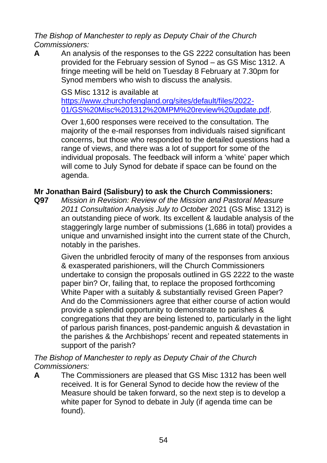*The Bishop of Manchester to reply as Deputy Chair of the Church Commissioners:*

**A** An analysis of the responses to the GS 2222 consultation has been provided for the February session of Synod – as GS Misc 1312. A fringe meeting will be held on Tuesday 8 February at 7.30pm for Synod members who wish to discuss the analysis.

GS Misc 1312 is available at [https://www.churchofengland.org/sites/default/files/2022-](https://www.churchofengland.org/sites/default/files/2022-01/GS%20Misc%201312%20MPM%20review%20update.pdf) [01/GS%20Misc%201312%20MPM%20review%20update.pdf.](https://www.churchofengland.org/sites/default/files/2022-01/GS%20Misc%201312%20MPM%20review%20update.pdf)

Over 1,600 responses were received to the consultation. The majority of the e-mail responses from individuals raised significant concerns, but those who responded to the detailed questions had a range of views, and there was a lot of support for some of the individual proposals. The feedback will inform a 'white' paper which will come to July Synod for debate if space can be found on the agenda.

#### **Mr Jonathan Baird (Salisbury) to ask the Church Commissioners:**

**Q97** *Mission in Revision: Review of the Mission and Pastoral Measure 2011 Consultation Analysis July to October* 2021 (GS Misc 1312) is an outstanding piece of work. Its excellent & laudable analysis of the staggeringly large number of submissions (1,686 in total) provides a unique and unvarnished insight into the current state of the Church, notably in the parishes.

> Given the unbridled ferocity of many of the responses from anxious & exasperated parishioners, will the Church Commissioners undertake to consign the proposals outlined in GS 2222 to the waste paper bin? Or, failing that, to replace the proposed forthcoming White Paper with a suitably & substantially revised Green Paper? And do the Commissioners agree that either course of action would provide a splendid opportunity to demonstrate to parishes & congregations that they are being listened to, particularly in the light of parlous parish finances, post-pandemic anguish & devastation in the parishes & the Archbishops' recent and repeated statements in support of the parish?

*The Bishop of Manchester to reply as Deputy Chair of the Church Commissioners:*

**A** The Commissioners are pleased that GS Misc 1312 has been well received. It is for General Synod to decide how the review of the Measure should be taken forward, so the next step is to develop a white paper for Synod to debate in July (if agenda time can be found).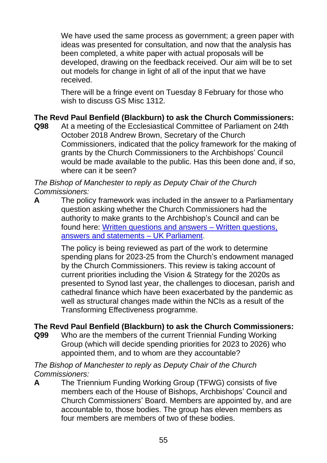We have used the same process as government; a green paper with ideas was presented for consultation, and now that the analysis has been completed, a white paper with actual proposals will be developed, drawing on the feedback received. Our aim will be to set out models for change in light of all of the input that we have received.

There will be a fringe event on Tuesday 8 February for those who wish to discuss GS Misc 1312.

## **The Revd Paul Benfield (Blackburn) to ask the Church Commissioners:**

**Q98** At a meeting of the Ecclesiastical Committee of Parliament on 24th October 2018 Andrew Brown, Secretary of the Church Commissioners, indicated that the policy framework for the making of grants by the Church Commissioners to the Archbishops' Council would be made available to the public. Has this been done and, if so, where can it be seen?

*The Bishop of Manchester to reply as Deputy Chair of the Church Commissioners:*

**A** The policy framework was included in the answer to a Parliamentary question asking whether the Church Commissioners had the authority to make grants to the Archbishop's Council and can be found here: [Written questions and answers](https://questions-statements.parliament.uk/written-questions/detail/2019-06-10/262341) – Written questions, [answers and statements](https://questions-statements.parliament.uk/written-questions/detail/2019-06-10/262341) – UK Parliament.

> The policy is being reviewed as part of the work to determine spending plans for 2023-25 from the Church's endowment managed by the Church Commissioners. This review is taking account of current priorities including the Vision & Strategy for the 2020s as presented to Synod last year, the challenges to diocesan, parish and cathedral finance which have been exacerbated by the pandemic as well as structural changes made within the NCIs as a result of the Transforming Effectiveness programme.

## **The Revd Paul Benfield (Blackburn) to ask the Church Commissioners:**

**Q99** Who are the members of the current Triennial Funding Working Group (which will decide spending priorities for 2023 to 2026) who appointed them, and to whom are they accountable?

*The Bishop of Manchester to reply as Deputy Chair of the Church Commissioners:*

**A** The Triennium Funding Working Group (TFWG) consists of five members each of the House of Bishops, Archbishops' Council and Church Commissioners' Board. Members are appointed by, and are accountable to, those bodies. The group has eleven members as four members are members of two of these bodies.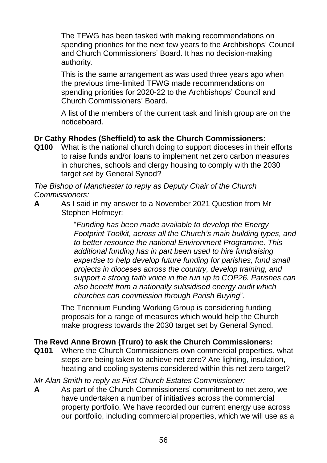The TFWG has been tasked with making recommendations on spending priorities for the next few years to the Archbishops' Council and Church Commissioners' Board. It has no decision-making authority.

This is the same arrangement as was used three years ago when the previous time-limited TFWG made recommendations on spending priorities for 2020-22 to the Archbishops' Council and Church Commissioners' Board.

A list of the members of the current task and finish group are on the noticeboard.

## **Dr Cathy Rhodes (Sheffield) to ask the Church Commissioners:**

**Q100** What is the national church doing to support dioceses in their efforts to raise funds and/or loans to implement net zero carbon measures in churches, schools and clergy housing to comply with the 2030 target set by General Synod?

*The Bishop of Manchester to reply as Deputy Chair of the Church Commissioners:*

**A** As I said in my answer to a November 2021 Question from Mr Stephen Hofmeyr:

> "*Funding has been made available to develop the Energy Footprint Toolkit, across all the Church's main building types, and to better resource the national Environment Programme. This additional funding has in part been used to hire fundraising expertise to help develop future funding for parishes, fund small projects in dioceses across the country, develop training, and support a strong faith voice in the run up to COP26. Parishes can also benefit from a nationally subsidised energy audit which churches can commission through Parish Buying*".

The Triennium Funding Working Group is considering funding proposals for a range of measures which would help the Church make progress towards the 2030 target set by General Synod.

## **The Revd Anne Brown (Truro) to ask the Church Commissioners:**

**Q101** Where the Church Commissioners own commercial properties, what steps are being taken to achieve net zero? Are lighting, insulation, heating and cooling systems considered within this net zero target?

*Mr Alan Smith to reply as First Church Estates Commissioner:* 

**A** As part of the Church Commissioners' commitment to net zero, we have undertaken a number of initiatives across the commercial property portfolio. We have recorded our current energy use across our portfolio, including commercial properties, which we will use as a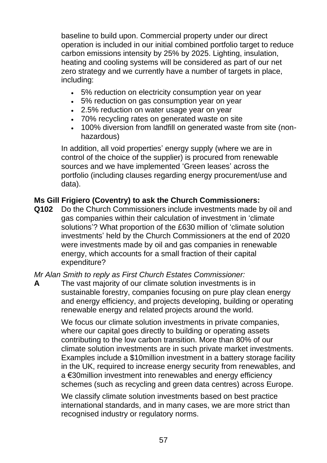baseline to build upon. Commercial property under our direct operation is included in our initial combined portfolio target to reduce carbon emissions intensity by 25% by 2025. Lighting, insulation, heating and cooling systems will be considered as part of our net zero strategy and we currently have a number of targets in place, including:

- 5% reduction on electricity consumption year on year
- 5% reduction on gas consumption year on year
- 2.5% reduction on water usage year on year
- 70% recycling rates on generated waste on site
- 100% diversion from landfill on generated waste from site (nonhazardous)

In addition, all void properties' energy supply (where we are in control of the choice of the supplier) is procured from renewable sources and we have implemented 'Green leases' across the portfolio (including clauses regarding energy procurement/use and data).

## **Ms Gill Frigiero (Coventry) to ask the Church Commissioners:**

**Q102** Do the Church Commissioners include investments made by oil and gas companies within their calculation of investment in 'climate solutions'? What proportion of the £630 million of 'climate solution investments' held by the Church Commissioners at the end of 2020 were investments made by oil and gas companies in renewable energy, which accounts for a small fraction of their capital expenditure?

*Mr Alan Smith to reply as First Church Estates Commissioner:*

**A** The vast majority of our climate solution investments is in sustainable forestry, companies focusing on pure play clean energy and energy efficiency, and projects developing, building or operating renewable energy and related projects around the world.

> We focus our climate solution investments in private companies, where our capital goes directly to building or operating assets contributing to the low carbon transition. More than 80% of our climate solution investments are in such private market investments. Examples include a \$10million investment in a battery storage facility in the UK, required to increase energy security from renewables, and a €30million investment into renewables and energy efficiency schemes (such as recycling and green data centres) across Europe.

We classify climate solution investments based on best practice international standards, and in many cases, we are more strict than recognised industry or regulatory norms.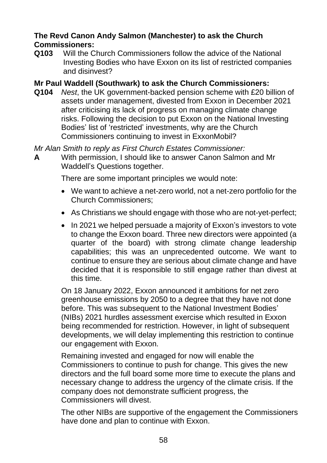#### **The Revd Canon Andy Salmon (Manchester) to ask the Church Commissioners:**

**Q103** Will the Church Commissioners follow the advice of the National Investing Bodies who have Exxon on its list of restricted companies and disinvest?

#### **Mr Paul Waddell (Southwark) to ask the Church Commissioners:**

**Q104** *Nest*, the UK government-backed pension scheme with £20 billion of assets under management, divested from Exxon in December 2021 after criticising its lack of progress on managing climate change risks. Following the decision to put Exxon on the National Investing Bodies' list of 'restricted' investments, why are the Church Commissioners continuing to invest in ExxonMobil?

*Mr Alan Smith to reply as First Church Estates Commissioner:*

**A** With permission, I should like to answer Canon Salmon and Mr Waddell's Questions together.

There are some important principles we would note:

- We want to achieve a net-zero world, not a net-zero portfolio for the Church Commissioners;
- As Christians we should engage with those who are not-yet-perfect;
- In 2021 we helped persuade a majority of Exxon's investors to vote to change the Exxon board. Three new directors were appointed (a quarter of the board) with strong climate change leadership capabilities; this was an unprecedented outcome. We want to continue to ensure they are serious about climate change and have decided that it is responsible to still engage rather than divest at this time.

On 18 January 2022, Exxon announced it ambitions for net zero greenhouse emissions by 2050 to a degree that they have not done before. This was subsequent to the National Investment Bodies' (NIBs) 2021 hurdles assessment exercise which resulted in Exxon being recommended for restriction. However, in light of subsequent developments, we will delay implementing this restriction to continue our engagement with Exxon.

Remaining invested and engaged for now will enable the Commissioners to continue to push for change. This gives the new directors and the full board some more time to execute the plans and necessary change to address the urgency of the climate crisis. If the company does not demonstrate sufficient progress, the Commissioners will divest.

The other NIBs are supportive of the engagement the Commissioners have done and plan to continue with Exxon.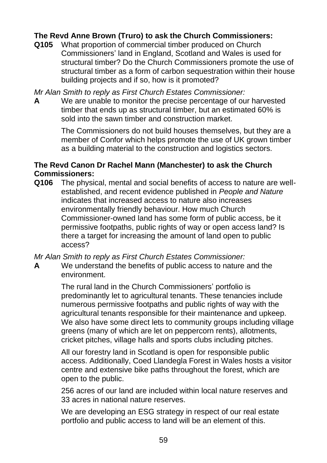## **The Revd Anne Brown (Truro) to ask the Church Commissioners:**

**Q105** What proportion of commercial timber produced on Church Commissioners' land in England, Scotland and Wales is used for structural timber? Do the Church Commissioners promote the use of structural timber as a form of carbon sequestration within their house building projects and if so, how is it promoted?

*Mr Alan Smith to reply as First Church Estates Commissioner:*

**A** We are unable to monitor the precise percentage of our harvested timber that ends up as structural timber, but an estimated 60% is sold into the sawn timber and construction market.

> The Commissioners do not build houses themselves, but they are a member of Confor which helps promote the use of UK grown timber as a building material to the construction and logistics sectors.

#### **The Revd Canon Dr Rachel Mann (Manchester) to ask the Church Commissioners:**

**Q106** The physical, mental and social benefits of access to nature are wellestablished, and recent evidence published in *People and Nature* indicates that increased access to nature also increases environmentally friendly behaviour. How much Church Commissioner-owned land has some form of public access, be it permissive footpaths, public rights of way or open access land? Is there a target for increasing the amount of land open to public access?

*Mr Alan Smith to reply as First Church Estates Commissioner:* 

**A** We understand the benefits of public access to nature and the environment.

> The rural land in the Church Commissioners' portfolio is predominantly let to agricultural tenants. These tenancies include numerous permissive footpaths and public rights of way with the agricultural tenants responsible for their maintenance and upkeep. We also have some direct lets to community groups including village greens (many of which are let on peppercorn rents), allotments, cricket pitches, village halls and sports clubs including pitches.

> All our forestry land in Scotland is open for responsible public access. Additionally, Coed Llandegla Forest in Wales hosts a visitor centre and extensive bike paths throughout the forest, which are open to the public.

256 acres of our land are included within local nature reserves and 33 acres in national nature reserves.

We are developing an ESG strategy in respect of our real estate portfolio and public access to land will be an element of this.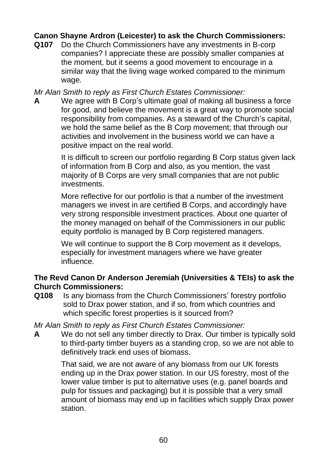## **Canon Shayne Ardron (Leicester) to ask the Church Commissioners:**

**Q107** Do the Church Commissioners have any investments in B-corp companies? I appreciate these are possibly smaller companies at the moment, but it seems a good movement to encourage in a similar way that the living wage worked compared to the minimum wage.

*Mr Alan Smith to reply as First Church Estates Commissioner:*

**A** We agree with B Corp's ultimate goal of making all business a force for good, and believe the movement is a great way to promote social responsibility from companies. As a steward of the Church's capital, we hold the same belief as the B Corp movement; that through our activities and involvement in the business world we can have a positive impact on the real world.

> It is difficult to screen our portfolio regarding B Corp status given lack of information from B Corp and also, as you mention, the vast majority of B Corps are very small companies that are not public investments.

More reflective for our portfolio is that a number of the investment managers we invest in are certified B Corps, and accordingly have very strong responsible investment practices. About one quarter of the money managed on behalf of the Commissioners in our public equity portfolio is managed by B Corp registered managers.

We will continue to support the B Corp movement as it develops, especially for investment managers where we have greater influence.

#### **The Revd Canon Dr Anderson Jeremiah (Universities & TEIs) to ask the Church Commissioners:**

**Q108** Is any biomass from the Church Commissioners' forestry portfolio sold to Drax power station, and if so, from which countries and which specific forest properties is it sourced from?

*Mr Alan Smith to reply as First Church Estates Commissioner:*

**A** We do not sell any timber directly to Drax. Our timber is typically sold to third-party timber buyers as a standing crop, so we are not able to definitively track end uses of biomass.

> That said, we are not aware of any biomass from our UK forests ending up in the Drax power station. In our US forestry, most of the lower value timber is put to alternative uses (e.g. panel boards and pulp for tissues and packaging) but it is possible that a very small amount of biomass may end up in facilities which supply Drax power station.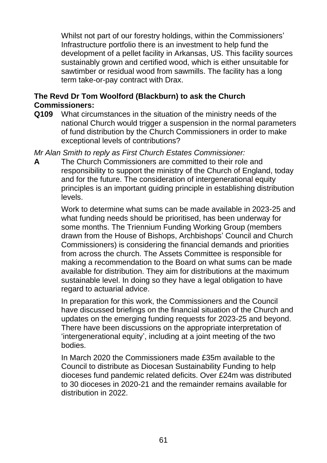Whilst not part of our forestry holdings, within the Commissioners' Infrastructure portfolio there is an investment to help fund the development of a pellet facility in Arkansas, US. This facility sources sustainably grown and certified wood, which is either unsuitable for sawtimber or residual wood from sawmills. The facility has a long term take-or-pay contract with Drax.

## **The Revd Dr Tom Woolford (Blackburn) to ask the Church Commissioners:**

- **Q109** What circumstances in the situation of the ministry needs of the national Church would trigger a suspension in the normal parameters of fund distribution by the Church Commissioners in order to make exceptional levels of contributions?
- *Mr Alan Smith to reply as First Church Estates Commissioner:*
- **A** The Church Commissioners are committed to their role and responsibility to support the ministry of the Church of England, today and for the future. The consideration of intergenerational equity principles is an important guiding principle in establishing distribution levels.

Work to determine what sums can be made available in 2023-25 and what funding needs should be prioritised, has been underway for some months. The Triennium Funding Working Group (members drawn from the House of Bishops, Archbishops' Council and Church Commissioners) is considering the financial demands and priorities from across the church. The Assets Committee is responsible for making a recommendation to the Board on what sums can be made available for distribution. They aim for distributions at the maximum sustainable level. In doing so they have a legal obligation to have regard to actuarial advice.

In preparation for this work, the Commissioners and the Council have discussed briefings on the financial situation of the Church and updates on the emerging funding requests for 2023-25 and beyond. There have been discussions on the appropriate interpretation of 'intergenerational equity', including at a joint meeting of the two bodies.

In March 2020 the Commissioners made £35m available to the Council to distribute as Diocesan Sustainability Funding to help dioceses fund pandemic related deficits. Over £24m was distributed to 30 dioceses in 2020-21 and the remainder remains available for distribution in 2022.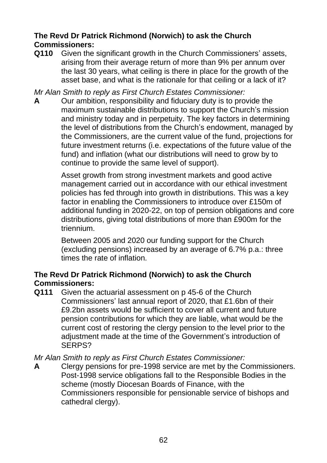## **The Revd Dr Patrick Richmond (Norwich) to ask the Church Commissioners:**

**Q110** Given the significant growth in the Church Commissioners' assets, arising from their average return of more than 9% per annum over the last 30 years, what ceiling is there in place for the growth of the asset base, and what is the rationale for that ceiling or a lack of it?

*Mr Alan Smith to reply as First Church Estates Commissioner:*

**A** Our ambition, responsibility and fiduciary duty is to provide the maximum sustainable distributions to support the Church's mission and ministry today and in perpetuity. The key factors in determining the level of distributions from the Church's endowment, managed by the Commissioners, are the current value of the fund, projections for future investment returns (i.e. expectations of the future value of the fund) and inflation (what our distributions will need to grow by to continue to provide the same level of support).

> Asset growth from strong investment markets and good active management carried out in accordance with our ethical investment policies has fed through into growth in distributions. This was a key factor in enabling the Commissioners to introduce over £150m of additional funding in 2020-22, on top of pension obligations and core distributions, giving total distributions of more than £900m for the triennium.

Between 2005 and 2020 our funding support for the Church (excluding pensions) increased by an average of 6.7% p.a.: three times the rate of inflation.

## **The Revd Dr Patrick Richmond (Norwich) to ask the Church Commissioners:**

**Q111** Given the actuarial assessment on p 45-6 of the Church Commissioners' last annual report of 2020, that £1.6bn of their £9.2bn assets would be sufficient to cover all current and future pension contributions for which they are liable, what would be the current cost of restoring the clergy pension to the level prior to the adjustment made at the time of the Government's introduction of SERPS?

## *Mr Alan Smith to reply as First Church Estates Commissioner:*

**A** Clergy pensions for pre-1998 service are met by the Commissioners. Post-1998 service obligations fall to the Responsible Bodies in the scheme (mostly Diocesan Boards of Finance, with the Commissioners responsible for pensionable service of bishops and cathedral clergy).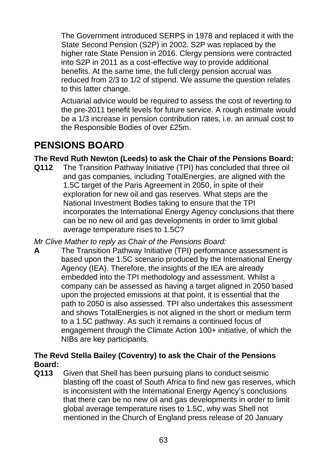The Government introduced SERPS in 1978 and replaced it with the State Second Pension (S2P) in 2002. S2P was replaced by the higher rate State Pension in 2016. Clergy pensions were contracted into S2P in 2011 as a cost-effective way to provide additional benefits. At the same time, the full clergy pension accrual was reduced from 2/3 to 1/2 of stipend. We assume the question relates to this latter change.

Actuarial advice would be required to assess the cost of reverting to the pre-2011 benefit levels for future service. A rough estimate would be a 1/3 increase in pension contribution rates, i.e. an annual cost to the Responsible Bodies of over £25m.

# **PENSIONS BOARD**

## **The Revd Ruth Newton (Leeds) to ask the Chair of the Pensions Board:**

**Q112** The Transition Pathway Initiative (TPI) has concluded that three oil and gas companies, including TotalEnergies, are aligned with the 1.5C target of the Paris Agreement in 2050, in spite of their exploration for new oil and gas reserves. What steps are the National Investment Bodies taking to ensure that the TPI incorporates the International Energy Agency conclusions that there can be no new oil and gas developments in order to limit global average temperature rises to 1.5C?

*Mr Clive Mather to reply as Chair of the Pensions Board:*

**A** The Transition Pathway Initiative (TPI) performance assessment is based upon the 1.5C scenario produced by the International Energy Agency (IEA). Therefore, the insights of the IEA are already embedded into the TPI methodology and assessment. Whilst a company can be assessed as having a target aligned in 2050 based upon the projected emissions at that point, it is essential that the path to 2050 is also assessed. TPI also undertakes this assessment and shows TotalEnergies is not aligned in the short or medium term to a 1.5C pathway. As such it remains a continued focus of engagement through the Climate Action 100+ initiative, of which the NIBs are key participants.

## **The Revd Stella Bailey (Coventry) to ask the Chair of the Pensions Board:**

**Q113** Given that Shell has been pursuing plans to conduct seismic blasting off the coast of South Africa to find new gas reserves, which is inconsistent with the International Energy Agency's conclusions that there can be no new oil and gas developments in order to limit global average temperature rises to 1.5C, why was Shell not mentioned in the Church of England press release of 20 January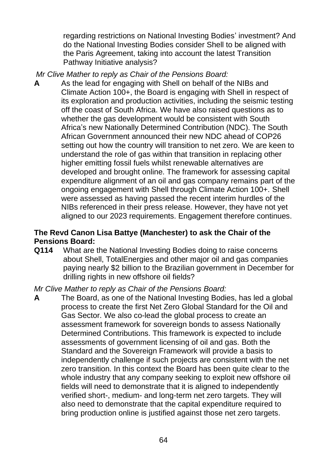regarding restrictions on National Investing Bodies' investment? And do the National Investing Bodies consider Shell to be aligned with the Paris Agreement, taking into account the latest Transition Pathway Initiative analysis?

- *Mr Clive Mather to reply as Chair of the Pensions Board:*
- **A** As the lead for engaging with Shell on behalf of the NIBs and Climate Action 100+, the Board is engaging with Shell in respect of its exploration and production activities, including the seismic testing off the coast of South Africa. We have also raised questions as to whether the gas development would be consistent with South Africa's new Nationally Determined Contribution (NDC). The South African Government announced their new NDC ahead of COP26 setting out how the country will transition to net zero. We are keen to understand the role of gas within that transition in replacing other higher emitting fossil fuels whilst renewable alternatives are developed and brought online. The framework for assessing capital expenditure alignment of an oil and gas company remains part of the ongoing engagement with Shell through Climate Action 100+. Shell were assessed as having passed the recent interim hurdles of the NIBs referenced in their press release. However, they have not yet aligned to our 2023 requirements. Engagement therefore continues.

#### **The Revd Canon Lisa Battye (Manchester) to ask the Chair of the Pensions Board:**

**Q114** What are the National Investing Bodies doing to raise concerns about Shell, TotalEnergies and other major oil and gas companies paying nearly \$2 billion to the Brazilian government in December for drilling rights in new offshore oil fields?

#### *Mr Clive Mather to reply as Chair of the Pensions Board:*

**A** The Board, as one of the National Investing Bodies, has led a global process to create the first Net Zero Global Standard for the Oil and Gas Sector. We also co-lead the global process to create an assessment framework for sovereign bonds to assess Nationally Determined Contributions. This framework is expected to include assessments of government licensing of oil and gas. Both the Standard and the Sovereign Framework will provide a basis to independently challenge if such projects are consistent with the net zero transition. In this context the Board has been quite clear to the whole industry that any company seeking to exploit new offshore oil fields will need to demonstrate that it is aligned to independently verified short-, medium- and long-term net zero targets. They will also need to demonstrate that the capital expenditure required to bring production online is justified against those net zero targets.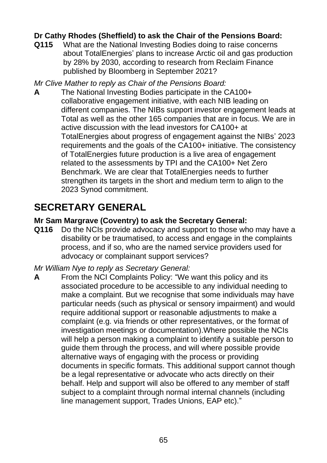## **Dr Cathy Rhodes (Sheffield) to ask the Chair of the Pensions Board:**

**Q115** What are the National Investing Bodies doing to raise concerns about TotalEnergies' plans to increase Arctic oil and gas production by 28% by 2030, according to research from Reclaim Finance published by Bloomberg in September 2021?

*Mr Clive Mather to reply as Chair of the Pensions Board:*

**A** The National Investing Bodies participate in the CA100+ collaborative engagement initiative, with each NIB leading on different companies. The NIBs support investor engagement leads at Total as well as the other 165 companies that are in focus. We are in active discussion with the lead investors for CA100+ at TotalEnergies about progress of engagement against the NIBs' 2023 requirements and the goals of the CA100+ initiative. The consistency of TotalEnergies future production is a live area of engagement related to the assessments by TPI and the CA100+ Net Zero Benchmark. We are clear that TotalEnergies needs to further strengthen its targets in the short and medium term to align to the 2023 Synod commitment.

# **SECRETARY GENERAL**

## **Mr Sam Margrave (Coventry) to ask the Secretary General:**

**Q116** Do the NCIs provide advocacy and support to those who may have a disability or be traumatised, to access and engage in the complaints process, and if so, who are the named service providers used for advocacy or complainant support services?

#### *Mr William Nye to reply as Secretary General:*

**A** From the NCI Complaints Policy: "We want this policy and its associated procedure to be accessible to any individual needing to make a complaint. But we recognise that some individuals may have particular needs (such as physical or sensory impairment) and would require additional support or reasonable adjustments to make a complaint (e.g. via friends or other representatives, or the format of investigation meetings or documentation).Where possible the NCIs will help a person making a complaint to identify a suitable person to guide them through the process, and will where possible provide alternative ways of engaging with the process or providing documents in specific formats. This additional support cannot though be a legal representative or advocate who acts directly on their behalf. Help and support will also be offered to any member of staff subject to a complaint through normal internal channels (including line management support, Trades Unions, EAP etc)."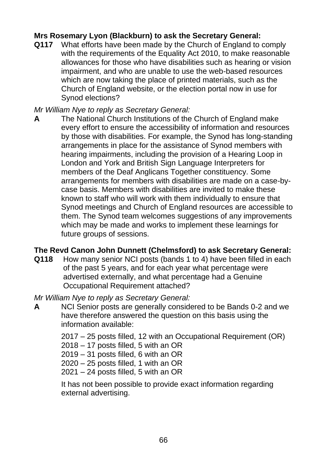## **Mrs Rosemary Lyon (Blackburn) to ask the Secretary General:**

**Q117** What efforts have been made by the Church of England to comply with the requirements of the Equality Act 2010, to make reasonable allowances for those who have disabilities such as hearing or vision impairment, and who are unable to use the web-based resources which are now taking the place of printed materials, such as the Church of England website, or the election portal now in use for Synod elections?

*Mr William Nye to reply as Secretary General:*

**A** The National Church Institutions of the Church of England make every effort to ensure the accessibility of information and resources by those with disabilities. For example, the Synod has long-standing arrangements in place for the assistance of Synod members with hearing impairments, including the provision of a Hearing Loop in London and York and British Sign Language Interpreters for members of the Deaf Anglicans Together constituency. Some arrangements for members with disabilities are made on a case-bycase basis. Members with disabilities are invited to make these known to staff who will work with them individually to ensure that Synod meetings and Church of England resources are accessible to them. The Synod team welcomes suggestions of any improvements which may be made and works to implement these learnings for future groups of sessions.

#### **The Revd Canon John Dunnett (Chelmsford) to ask Secretary General:**

- **Q118** How many senior NCI posts (bands 1 to 4) have been filled in each of the past 5 years, and for each year what percentage were advertised externally, and what percentage had a Genuine Occupational Requirement attached?
- *Mr William Nye to reply as Secretary General:*
- **A** NCI Senior posts are generally considered to be Bands 0-2 and we have therefore answered the question on this basis using the information available:

2017 – 25 posts filled, 12 with an Occupational Requirement (OR)

2018 – 17 posts filled, 5 with an OR

2019 – 31 posts filled, 6 with an OR

2020 – 25 posts filled, 1 with an OR

2021 – 24 posts filled, 5 with an OR

It has not been possible to provide exact information regarding external advertising.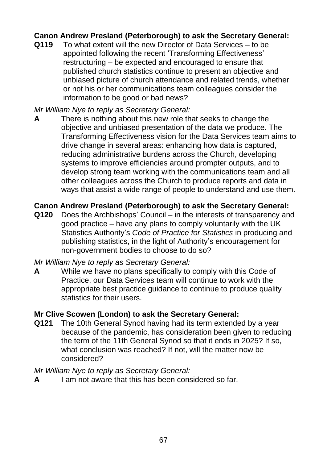## **Canon Andrew Presland (Peterborough) to ask the Secretary General:**

**Q119** To what extent will the new Director of Data Services – to be appointed following the recent 'Transforming Effectiveness' restructuring – be expected and encouraged to ensure that published church statistics continue to present an objective and unbiased picture of church attendance and related trends, whether or not his or her communications team colleagues consider the information to be good or bad news?

#### *Mr William Nye to reply as Secretary General:*

**A** There is nothing about this new role that seeks to change the objective and unbiased presentation of the data we produce. The Transforming Effectiveness vision for the Data Services team aims to drive change in several areas: enhancing how data is captured, reducing administrative burdens across the Church, developing systems to improve efficiencies around prompter outputs, and to develop strong team working with the communications team and all other colleagues across the Church to produce reports and data in ways that assist a wide range of people to understand and use them.

#### **Canon Andrew Presland (Peterborough) to ask the Secretary General:**

**Q120** Does the Archbishops' Council – in the interests of transparency and good practice – have any plans to comply voluntarily with the UK Statistics Authority's *Code of Practice for Statistics* in producing and publishing statistics, in the light of Authority's encouragement for non-government bodies to choose to do so?

#### *Mr William Nye to reply as Secretary General:*

**A** While we have no plans specifically to comply with this Code of Practice, our Data Services team will continue to work with the appropriate best practice guidance to continue to produce quality statistics for their users.

#### **Mr Clive Scowen (London) to ask the Secretary General:**

**Q121** The 10th General Synod having had its term extended by a year because of the pandemic, has consideration been given to reducing the term of the 11th General Synod so that it ends in 2025? If so, what conclusion was reached? If not, will the matter now be considered?

#### *Mr William Nye to reply as Secretary General:*

**A** I am not aware that this has been considered so far.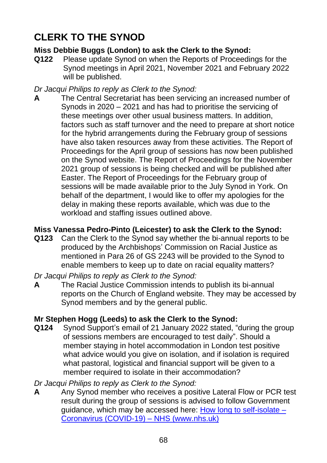# **CLERK TO THE SYNOD**

## **Miss Debbie Buggs (London) to ask the Clerk to the Synod:**

**Q122** Please update Synod on when the Reports of Proceedings for the Synod meetings in April 2021, November 2021 and February 2022 will be published.

*Dr Jacqui Philips to reply as Clerk to the Synod:*

**A** The Central Secretariat has been servicing an increased number of Synods in 2020 – 2021 and has had to prioritise the servicing of these meetings over other usual business matters. In addition, factors such as staff turnover and the need to prepare at short notice for the hybrid arrangements during the February group of sessions have also taken resources away from these activities. The Report of Proceedings for the April group of sessions has now been published on the Synod website. The Report of Proceedings for the November 2021 group of sessions is being checked and will be published after Easter. The Report of Proceedings for the February group of sessions will be made available prior to the July Synod in York. On behalf of the department, I would like to offer my apologies for the delay in making these reports available, which was due to the workload and staffing issues outlined above.

## **Miss Vanessa Pedro-Pinto (Leicester) to ask the Clerk to the Synod:**

**Q123** Can the Clerk to the Synod say whether the bi-annual reports to be produced by the Archbishops' Commission on Racial Justice as mentioned in Para 26 of GS 2243 will be provided to the Synod to enable members to keep up to date on racial equality matters?

*Dr Jacqui Philips to reply as Clerk to the Synod:*

**A** The Racial Justice Commission intends to publish its bi-annual reports on the Church of England website. They may be accessed by Synod members and by the general public.

## **Mr Stephen Hogg (Leeds) to ask the Clerk to the Synod:**

**Q124** Synod Support's email of 21 January 2022 stated, "during the group of sessions members are encouraged to test daily". Should a member staying in hotel accommodation in London test positive what advice would you give on isolation, and if isolation is required what pastoral, logistical and financial support will be given to a member required to isolate in their accommodation?

*Dr Jacqui Philips to reply as Clerk to the Synod:*

**A** Any Synod member who receives a positive Lateral Flow or PCR test result during the group of sessions is advised to follow Government guidance, which may be accessed here: [How long to self-isolate](https://www.nhs.uk/conditions/coronavirus-covid-19/self-isolation-and-treatment/how-long-to-self-isolate/) – [Coronavirus \(COVID-19\)](https://www.nhs.uk/conditions/coronavirus-covid-19/self-isolation-and-treatment/how-long-to-self-isolate/) – NHS (www.nhs.uk)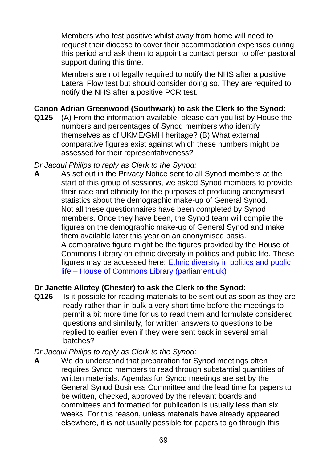Members who test positive whilst away from home will need to request their diocese to cover their accommodation expenses during this period and ask them to appoint a contact person to offer pastoral support during this time.

Members are not legally required to notify the NHS after a positive Lateral Flow test but should consider doing so. They are required to notify the NHS after a positive PCR test.

## **Canon Adrian Greenwood (Southwark) to ask the Clerk to the Synod:**

**Q125** (A) From the information available, please can you list by House the numbers and percentages of Synod members who identify themselves as of UKME/GMH heritage? (B) What external comparative figures exist against which these numbers might be assessed for their representativeness?

*Dr Jacqui Philips to reply as Clerk to the Synod:*

**A** As set out in the Privacy Notice sent to all Synod members at the start of this group of sessions, we asked Synod members to provide their race and ethnicity for the purposes of producing anonymised statistics about the demographic make-up of General Synod. Not all these questionnaires have been completed by Synod members. Once they have been, the Synod team will compile the figures on the demographic make-up of General Synod and make them available later this year on an anonymised basis. A comparative figure might be the figures provided by the House of Commons Library on ethnic diversity in politics and public life. These figures may be accessed here: [Ethnic diversity in politics and public](https://commonslibrary.parliament.uk/research-briefings/sn01156/)  life – [House of Commons Library \(parliament.uk\)](https://commonslibrary.parliament.uk/research-briefings/sn01156/)

## **Dr Janette Allotey (Chester) to ask the Clerk to the Synod:**

**Q126** Is it possible for reading materials to be sent out as soon as they are ready rather than in bulk a very short time before the meetings to permit a bit more time for us to read them and formulate considered questions and similarly, for written answers to questions to be replied to earlier even if they were sent back in several small batches?

## *Dr Jacqui Philips to reply as Clerk to the Synod:*

**A** We do understand that preparation for Synod meetings often requires Synod members to read through substantial quantities of written materials. Agendas for Synod meetings are set by the General Synod Business Committee and the lead time for papers to be written, checked, approved by the relevant boards and committees and formatted for publication is usually less than six weeks. For this reason, unless materials have already appeared elsewhere, it is not usually possible for papers to go through this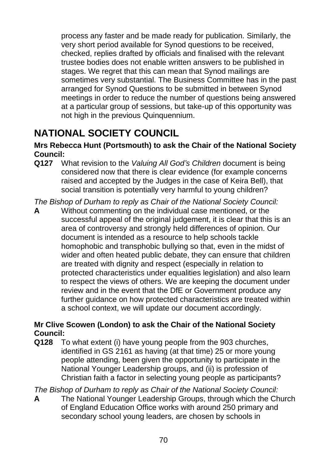process any faster and be made ready for publication. Similarly, the very short period available for Synod questions to be received, checked, replies drafted by officials and finalised with the relevant trustee bodies does not enable written answers to be published in stages. We regret that this can mean that Synod mailings are sometimes very substantial. The Business Committee has in the past arranged for Synod Questions to be submitted in between Synod meetings in order to reduce the number of questions being answered at a particular group of sessions, but take-up of this opportunity was not high in the previous Quinquennium.

# **NATIONAL SOCIETY COUNCIL**

#### **Mrs Rebecca Hunt (Portsmouth) to ask the Chair of the National Society Council:**

**Q127** What revision to the *Valuing All God's Children* document is being considered now that there is clear evidence (for example concerns raised and accepted by the Judges in the case of Keira Bell), that social transition is potentially very harmful to young children?

*The Bishop of Durham to reply as Chair of the National Society Council:*

**A** Without commenting on the individual case mentioned, or the successful appeal of the original judgement, it is clear that this is an area of controversy and strongly held differences of opinion. Our document is intended as a resource to help schools tackle homophobic and transphobic bullying so that, even in the midst of wider and often heated public debate, they can ensure that children are treated with dignity and respect (especially in relation to protected characteristics under equalities legislation) and also learn to respect the views of others. We are keeping the document under review and in the event that the DfE or Government produce any further guidance on how protected characteristics are treated within a school context, we will update our document accordingly.

## **Mr Clive Scowen (London) to ask the Chair of the National Society Council:**

**Q128** To what extent (i) have young people from the 903 churches, identified in GS 2161 as having (at that time) 25 or more young people attending, been given the opportunity to participate in the National Younger Leadership groups, and (ii) is profession of Christian faith a factor in selecting young people as participants?

*The Bishop of Durham to reply as Chair of the National Society Council:*

**A** The National Younger Leadership Groups, through which the Church of England Education Office works with around 250 primary and secondary school young leaders, are chosen by schools in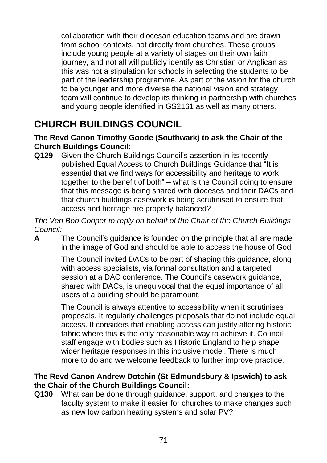collaboration with their diocesan education teams and are drawn from school contexts, not directly from churches. These groups include young people at a variety of stages on their own faith journey, and not all will publicly identify as Christian or Anglican as this was not a stipulation for schools in selecting the students to be part of the leadership programme. As part of the vision for the church to be younger and more diverse the national vision and strategy team will continue to develop its thinking in partnership with churches and young people identified in GS2161 as well as many others.

# **CHURCH BUILDINGS COUNCIL**

#### **The Revd Canon Timothy Goode (Southwark) to ask the Chair of the Church Buildings Council:**

**Q129** Given the Church Buildings Council's assertion in its recently published Equal Access to Church Buildings Guidance that "It is essential that we find ways for accessibility and heritage to work together to the benefit of both" – what is the Council doing to ensure that this message is being shared with dioceses and their DACs and that church buildings casework is being scrutinised to ensure that access and heritage are properly balanced?

*The Ven Bob Cooper to reply on behalf of the Chair of the Church Buildings Council:*

**A** The Council's guidance is founded on the principle that all are made in the image of God and should be able to access the house of God.

> The Council invited DACs to be part of shaping this guidance, along with access specialists, via formal consultation and a targeted session at a DAC conference. The Council's casework guidance, shared with DACs, is unequivocal that the equal importance of all users of a building should be paramount.

The Council is always attentive to accessibility when it scrutinises proposals. It regularly challenges proposals that do not include equal access. It considers that enabling access can justify altering historic fabric where this is the only reasonable way to achieve it. Council staff engage with bodies such as Historic England to help shape wider heritage responses in this inclusive model. There is much more to do and we welcome feedback to further improve practice.

## **The Revd Canon Andrew Dotchin (St Edmundsbury & Ipswich) to ask the Chair of the Church Buildings Council:**

**Q130** What can be done through guidance, support, and changes to the faculty system to make it easier for churches to make changes such as new low carbon heating systems and solar PV?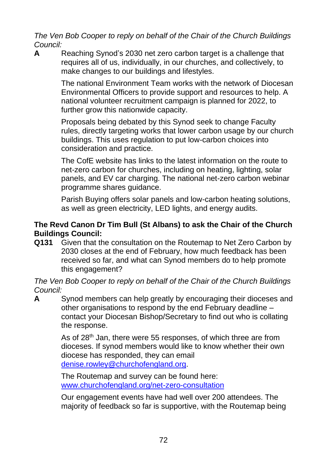*The Ven Bob Cooper to reply on behalf of the Chair of the Church Buildings Council:*

**A** Reaching Synod's 2030 net zero carbon target is a challenge that requires all of us, individually, in our churches, and collectively, to make changes to our buildings and lifestyles.

> The national Environment Team works with the network of Diocesan Environmental Officers to provide support and resources to help. A national volunteer recruitment campaign is planned for 2022, to further grow this nationwide capacity.

> Proposals being debated by this Synod seek to change Faculty rules, directly targeting works that lower carbon usage by our church buildings. This uses regulation to put low-carbon choices into consideration and practice.

The CofE website has links to the latest information on the route to net-zero carbon for churches, including on heating, lighting, solar panels, and EV car charging. The national net-zero carbon webinar programme shares guidance.

Parish Buying offers solar panels and low-carbon heating solutions, as well as green electricity, LED lights, and energy audits.

## **The Revd Canon Dr Tim Bull (St Albans) to ask the Chair of the Church Buildings Council:**

**Q131** Given that the consultation on the Routemap to Net Zero Carbon by 2030 closes at the end of February, how much feedback has been received so far, and what can Synod members do to help promote this engagement?

*The Ven Bob Cooper to reply on behalf of the Chair of the Church Buildings Council:*

**A** Synod members can help greatly by encouraging their dioceses and other organisations to respond by the end February deadline – contact your Diocesan Bishop/Secretary to find out who is collating the response.

> As of 28<sup>th</sup> Jan, there were 55 responses, of which three are from dioceses. If synod members would like to know whether their own diocese has responded, they can email [denise.rowley@churchofengland.org.](mailto:denise.rowley@churchofengland.org)

The Routemap and survey can be found here: [www.churchofengland.org/net-zero-consultation](http://www.churchofengland.org/net-zero-consultation)

Our engagement events have had well over 200 attendees. The majority of feedback so far is supportive, with the Routemap being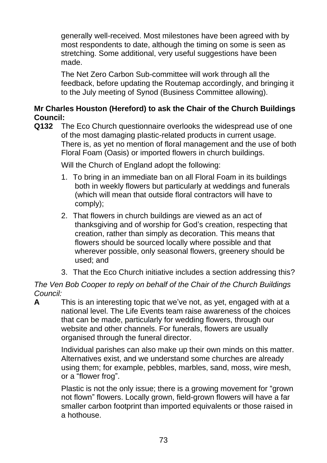generally well-received. Most milestones have been agreed with by most respondents to date, although the timing on some is seen as stretching. Some additional, very useful suggestions have been made.

The Net Zero Carbon Sub-committee will work through all the feedback, before updating the Routemap accordingly, and bringing it to the July meeting of Synod (Business Committee allowing).

## **Mr Charles Houston (Hereford) to ask the Chair of the Church Buildings Council:**

**Q132** The Eco Church questionnaire overlooks the widespread use of one of the most damaging plastic-related products in current usage. There is, as yet no mention of floral management and the use of both Floral Foam (Oasis) or imported flowers in church buildings.

Will the Church of England adopt the following:

- 1. To bring in an immediate ban on all Floral Foam in its buildings both in weekly flowers but particularly at weddings and funerals (which will mean that outside floral contractors will have to comply);
- 2. That flowers in church buildings are viewed as an act of thanksgiving and of worship for God's creation, respecting that creation, rather than simply as decoration. This means that flowers should be sourced locally where possible and that wherever possible, only seasonal flowers, greenery should be used; and
- 3. That the Eco Church initiative includes a section addressing this?

*The Ven Bob Cooper to reply on behalf of the Chair of the Church Buildings Council:*

**A** This is an interesting topic that we've not, as yet, engaged with at a national level. The Life Events team raise awareness of the choices that can be made, particularly for wedding flowers, through our website and other channels. For funerals, flowers are usually organised through the funeral director.

> Individual parishes can also make up their own minds on this matter. Alternatives exist, and we understand some churches are already using them; for example, pebbles, marbles, sand, moss, wire mesh, or a "flower frog".

> Plastic is not the only issue; there is a growing movement for "grown not flown" flowers. Locally grown, field-grown flowers will have a far smaller carbon footprint than imported equivalents or those raised in a hothouse.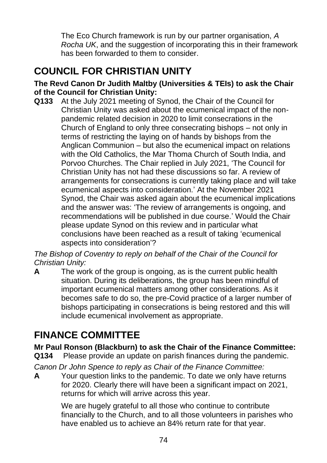The Eco Church framework is run by our partner organisation, *A Rocha UK*, and the suggestion of incorporating this in their framework has been forwarded to them to consider.

# **COUNCIL FOR CHRISTIAN UNITY**

#### **The Revd Canon Dr Judith Maltby (Universities & TEIs) to ask the Chair of the Council for Christian Unity:**

**Q133** At the July 2021 meeting of Synod, the Chair of the Council for Christian Unity was asked about the ecumenical impact of the nonpandemic related decision in 2020 to limit consecrations in the Church of England to only three consecrating bishops – not only in terms of restricting the laying on of hands by bishops from the Anglican Communion – but also the ecumenical impact on relations with the Old Catholics, the Mar Thoma Church of South India, and Porvoo Churches. The Chair replied in July 2021, 'The Council for Christian Unity has not had these discussions so far. A review of arrangements for consecrations is currently taking place and will take ecumenical aspects into consideration.' At the November 2021 Synod, the Chair was asked again about the ecumenical implications and the answer was: 'The review of arrangements is ongoing, and recommendations will be published in due course.' Would the Chair please update Synod on this review and in particular what conclusions have been reached as a result of taking 'ecumenical aspects into consideration'?

*The Bishop of Coventry to reply on behalf of the Chair of the Council for Christian Unity:*

**A** The work of the group is ongoing, as is the current public health situation. During its deliberations, the group has been mindful of important ecumenical matters among other considerations. As it becomes safe to do so, the pre-Covid practice of a larger number of bishops participating in consecrations is being restored and this will include ecumenical involvement as appropriate.

## **FINANCE COMMITTEE**

**Mr Paul Ronson (Blackburn) to ask the Chair of the Finance Committee:**

**Q134** Please provide an update on parish finances during the pandemic.

*Canon Dr John Spence to reply as Chair of the Finance Committee:*

**A** Your question links to the pandemic. To date we only have returns for 2020. Clearly there will have been a significant impact on 2021, returns for which will arrive across this year.

> We are hugely grateful to all those who continue to contribute financially to the Church, and to all those volunteers in parishes who have enabled us to achieve an 84% return rate for that year.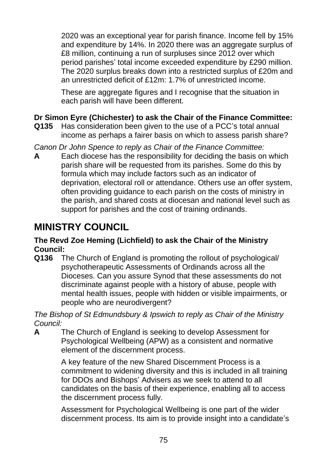2020 was an exceptional year for parish finance. Income fell by 15% and expenditure by 14%. In 2020 there was an aggregate surplus of £8 million, continuing a run of surpluses since 2012 over which period parishes' total income exceeded expenditure by £290 million. The 2020 surplus breaks down into a restricted surplus of £20m and an unrestricted deficit of £12m: 1.7% of unrestricted income.

These are aggregate figures and I recognise that the situation in each parish will have been different.

## **Dr Simon Eyre (Chichester) to ask the Chair of the Finance Committee:**

- **Q135** Has consideration been given to the use of a PCC's total annual income as perhaps a fairer basis on which to assess parish share?
- *Canon Dr John Spence to reply as Chair of the Finance Committee:*
- **A** Each diocese has the responsibility for deciding the basis on which parish share will be requested from its parishes. Some do this by formula which may include factors such as an indicator of deprivation, electoral roll or attendance. Others use an offer system, often providing guidance to each parish on the costs of ministry in the parish, and shared costs at diocesan and national level such as support for parishes and the cost of training ordinands.

## **MINISTRY COUNCIL**

#### **The Revd Zoe Heming (Lichfield) to ask the Chair of the Ministry Council:**

**Q136** The Church of England is promoting the rollout of psychological/ psychotherapeutic Assessments of Ordinands across all the Dioceses. Can you assure Synod that these assessments do not discriminate against people with a history of abuse, people with mental health issues, people with hidden or visible impairments, or people who are neurodivergent?

*The Bishop of St Edmundsbury & Ipswich to reply as Chair of the Ministry Council:*

**A** The Church of England is seeking to develop Assessment for Psychological Wellbeing (APW) as a consistent and normative element of the discernment process.

> A key feature of the new Shared Discernment Process is a commitment to widening diversity and this is included in all training for DDOs and Bishops' Advisers as we seek to attend to all candidates on the basis of their experience, enabling all to access the discernment process fully.

> Assessment for Psychological Wellbeing is one part of the wider discernment process. Its aim is to provide insight into a candidate's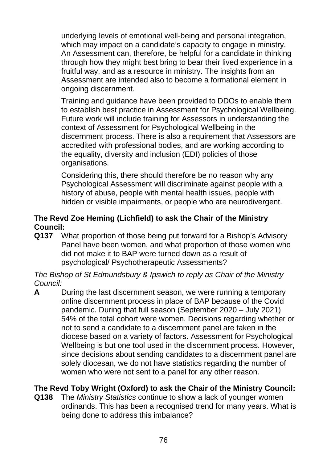underlying levels of emotional well-being and personal integration, which may impact on a candidate's capacity to engage in ministry. An Assessment can, therefore, be helpful for a candidate in thinking through how they might best bring to bear their lived experience in a fruitful way, and as a resource in ministry. The insights from an Assessment are intended also to become a formational element in ongoing discernment.

Training and guidance have been provided to DDOs to enable them to establish best practice in Assessment for Psychological Wellbeing. Future work will include training for Assessors in understanding the context of Assessment for Psychological Wellbeing in the discernment process. There is also a requirement that Assessors are accredited with professional bodies, and are working according to the equality, diversity and inclusion (EDI) policies of those organisations.

Considering this, there should therefore be no reason why any Psychological Assessment will discriminate against people with a history of abuse, people with mental health issues, people with hidden or visible impairments, or people who are neurodivergent.

## **The Revd Zoe Heming (Lichfield) to ask the Chair of the Ministry Council:**

**Q137** What proportion of those being put forward for a Bishop's Advisory Panel have been women, and what proportion of those women who did not make it to BAP were turned down as a result of psychological/ Psychotherapeutic Assessments?

*The Bishop of St Edmundsbury & Ipswich to reply as Chair of the Ministry Council:*

**A** During the last discernment season, we were running a temporary online discernment process in place of BAP because of the Covid pandemic. During that full season (September 2020 – July 2021) 54% of the total cohort were women. Decisions regarding whether or not to send a candidate to a discernment panel are taken in the diocese based on a variety of factors. Assessment for Psychological Wellbeing is but one tool used in the discernment process. However, since decisions about sending candidates to a discernment panel are solely diocesan, we do not have statistics regarding the number of women who were not sent to a panel for any other reason.

## **The Revd Toby Wright (Oxford) to ask the Chair of the Ministry Council:**

**Q138** The *Ministry Statistics* continue to show a lack of younger women ordinands. This has been a recognised trend for many years. What is being done to address this imbalance?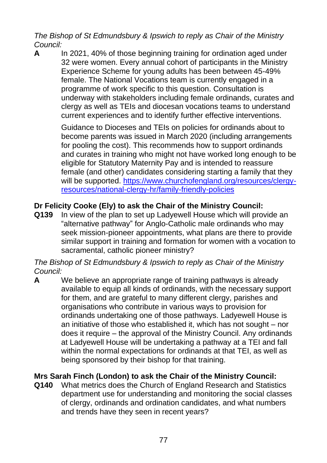*The Bishop of St Edmundsbury & Ipswich to reply as Chair of the Ministry Council:*

**A** In 2021, 40% of those beginning training for ordination aged under 32 were women. Every annual cohort of participants in the Ministry Experience Scheme for young adults has been between 45-49% female. The National Vocations team is currently engaged in a programme of work specific to this question. Consultation is underway with stakeholders including female ordinands, curates and clergy as well as TEIs and diocesan vocations teams to understand current experiences and to identify further effective interventions.

> Guidance to Dioceses and TEIs on policies for ordinands about to become parents was issued in March 2020 (including arrangements for pooling the cost). This recommends how to support ordinands and curates in training who might not have worked long enough to be eligible for Statutory Maternity Pay and is intended to reassure female (and other) candidates considering starting a family that they will be supported. [https://www.churchofengland.org/resources/clergy](https://www.churchofengland.org/resources/clergy-resources/national-clergy-hr/family-friendly-policies)[resources/national-clergy-hr/family-friendly-policies](https://www.churchofengland.org/resources/clergy-resources/national-clergy-hr/family-friendly-policies)

## **Dr Felicity Cooke (Ely) to ask the Chair of the Ministry Council:**

**Q139** In view of the plan to set up Ladyewell House which will provide an "alternative pathway" for Anglo-Catholic male ordinands who may seek mission-pioneer appointments, what plans are there to provide similar support in training and formation for women with a vocation to sacramental, catholic pioneer ministry?

*The Bishop of St Edmundsbury & Ipswich to reply as Chair of the Ministry Council:*

**A** We believe an appropriate range of training pathways is already available to equip all kinds of ordinands, with the necessary support for them, and are grateful to many different clergy, parishes and organisations who contribute in various ways to provision for ordinands undertaking one of those pathways. Ladyewell House is an initiative of those who established it, which has not sought – nor does it require – the approval of the Ministry Council. Any ordinands at Ladyewell House will be undertaking a pathway at a TEI and fall within the normal expectations for ordinands at that TEI, as well as being sponsored by their bishop for that training.

## **Mrs Sarah Finch (London) to ask the Chair of the Ministry Council:**

**Q140** What metrics does the Church of England Research and Statistics department use for understanding and monitoring the social classes of clergy, ordinands and ordination candidates, and what numbers and trends have they seen in recent years?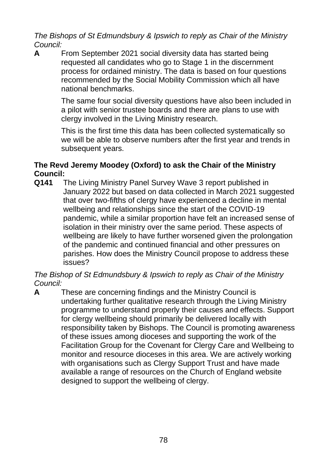*The Bishops of St Edmundsbury & Ipswich to reply as Chair of the Ministry Council:*

**A** From September 2021 social diversity data has started being requested all candidates who go to Stage 1 in the discernment process for ordained ministry. The data is based on four questions recommended by the Social Mobility Commission which all have national benchmarks.

> The same four social diversity questions have also been included in a pilot with senior trustee boards and there are plans to use with clergy involved in the Living Ministry research.

> This is the first time this data has been collected systematically so we will be able to observe numbers after the first year and trends in subsequent years.

## **The Revd Jeremy Moodey (Oxford) to ask the Chair of the Ministry Council:**

**Q141** The Living Ministry Panel Survey Wave 3 report published in January 2022 but based on data collected in March 2021 suggested that over two-fifths of clergy have experienced a decline in mental wellbeing and relationships since the start of the COVID-19 pandemic, while a similar proportion have felt an increased sense of isolation in their ministry over the same period. These aspects of wellbeing are likely to have further worsened given the prolongation of the pandemic and continued financial and other pressures on parishes. How does the Ministry Council propose to address these issues?

*The Bishop of St Edmundsbury & Ipswich to reply as Chair of the Ministry Council:*

**A** These are concerning findings and the Ministry Council is undertaking further qualitative research through the Living Ministry programme to understand properly their causes and effects. Support for clergy wellbeing should primarily be delivered locally with responsibility taken by Bishops. The Council is promoting awareness of these issues among dioceses and supporting the work of the Facilitation Group for the Covenant for Clergy Care and Wellbeing to monitor and resource dioceses in this area. We are actively working with organisations such as Clergy Support Trust and have made available a range of resources on the Church of England website designed to support the wellbeing of clergy.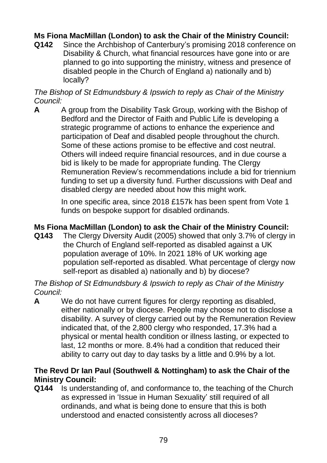## **Ms Fiona MacMillan (London) to ask the Chair of the Ministry Council:**

**Q142** Since the Archbishop of Canterbury's promising 2018 conference on Disability & Church, what financial resources have gone into or are planned to go into supporting the ministry, witness and presence of disabled people in the Church of England a) nationally and b) locally?

#### *The Bishop of St Edmundsbury & Ipswich to reply as Chair of the Ministry Council:*

**A** A group from the Disability Task Group, working with the Bishop of Bedford and the Director of Faith and Public Life is developing a strategic programme of actions to enhance the experience and participation of Deaf and disabled people throughout the church. Some of these actions promise to be effective and cost neutral. Others will indeed require financial resources, and in due course a bid is likely to be made for appropriate funding. The Clergy Remuneration Review's recommendations include a bid for triennium funding to set up a diversity fund. Further discussions with Deaf and disabled clergy are needed about how this might work.

> In one specific area, since 2018 £157k has been spent from Vote 1 funds on bespoke support for disabled ordinands.

#### **Ms Fiona MacMillan (London) to ask the Chair of the Ministry Council:**

**Q143** The Clergy Diversity Audit (2005) showed that only 3.7% of clergy in the Church of England self-reported as disabled against a UK population average of 10%. In 2021 18% of UK working age population self-reported as disabled. What percentage of clergy now self-report as disabled a) nationally and b) by diocese?

#### *The Bishop of St Edmundsbury & Ipswich to reply as Chair of the Ministry Council:*

**A** We do not have current figures for clergy reporting as disabled, either nationally or by diocese. People may choose not to disclose a disability. A survey of clergy carried out by the Remuneration Review indicated that, of the 2,800 clergy who responded, 17.3% had a physical or mental health condition or illness lasting, or expected to last, 12 months or more. 8.4% had a condition that reduced their ability to carry out day to day tasks by a little and 0.9% by a lot.

#### **The Revd Dr Ian Paul (Southwell & Nottingham) to ask the Chair of the Ministry Council:**

**Q144** Is understanding of, and conformance to, the teaching of the Church as expressed in 'Issue in Human Sexuality' still required of all ordinands, and what is being done to ensure that this is both understood and enacted consistently across all dioceses?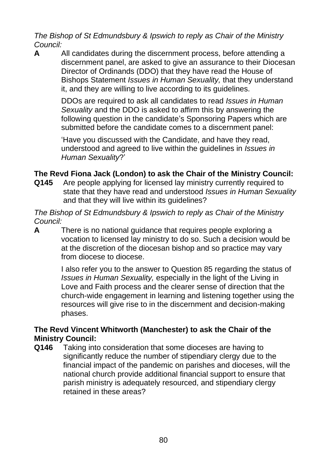*The Bishop of St Edmundsbury & Ipswich to reply as Chair of the Ministry Council:*

**A** All candidates during the discernment process, before attending a discernment panel, are asked to give an assurance to their Diocesan Director of Ordinands (DDO) that they have read the House of Bishops Statement *Issues in Human Sexuality,* that they understand it, and they are willing to live according to its guidelines.

> DDOs are required to ask all candidates to read *Issues in Human Sexuality* and the DDO is asked to affirm this by answering the following question in the candidate's Sponsoring Papers which are submitted before the candidate comes to a discernment panel:

'Have you discussed with the Candidate, and have they read, understood and agreed to live within the guidelines in *Issues in Human Sexuality*?'

## **The Revd Fiona Jack (London) to ask the Chair of the Ministry Council:**

**Q145** Are people applying for licensed lay ministry currently required to state that they have read and understood *Issues in Human Sexuality* and that they will live within its guidelines?

*The Bishop of St Edmundsbury & Ipswich to reply as Chair of the Ministry Council:*

**A** There is no national guidance that requires people exploring a vocation to licensed lay ministry to do so. Such a decision would be at the discretion of the diocesan bishop and so practice may vary from diocese to diocese.

> I also refer you to the answer to Question 85 regarding the status of *Issues in Human Sexuality,* especially in the light of the Living in Love and Faith process and the clearer sense of direction that the church-wide engagement in learning and listening together using the resources will give rise to in the discernment and decision-making phases.

## **The Revd Vincent Whitworth (Manchester) to ask the Chair of the Ministry Council:**

**Q146** Taking into consideration that some dioceses are having to significantly reduce the number of stipendiary clergy due to the financial impact of the pandemic on parishes and dioceses, will the national church provide additional financial support to ensure that parish ministry is adequately resourced, and stipendiary clergy retained in these areas?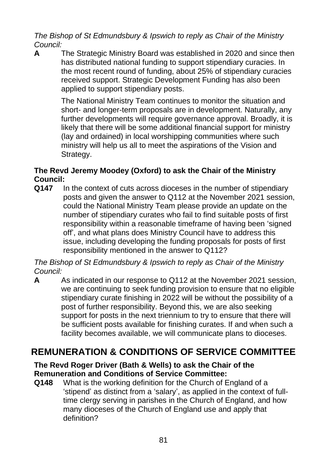*The Bishop of St Edmundsbury & Ipswich to reply as Chair of the Ministry Council:*

**A** The Strategic Ministry Board was established in 2020 and since then has distributed national funding to support stipendiary curacies. In the most recent round of funding, about 25% of stipendiary curacies received support. Strategic Development Funding has also been applied to support stipendiary posts.

> The National Ministry Team continues to monitor the situation and short- and longer-term proposals are in development. Naturally, any further developments will require governance approval. Broadly, it is likely that there will be some additional financial support for ministry (lay and ordained) in local worshipping communities where such ministry will help us all to meet the aspirations of the Vision and Strategy.

## **The Revd Jeremy Moodey (Oxford) to ask the Chair of the Ministry Council:**

**Q147** In the context of cuts across dioceses in the number of stipendiary posts and given the answer to Q112 at the November 2021 session, could the National Ministry Team please provide an update on the number of stipendiary curates who fail to find suitable posts of first responsibility within a reasonable timeframe of having been 'signed off', and what plans does Ministry Council have to address this issue, including developing the funding proposals for posts of first responsibility mentioned in the answer to Q112?

*The Bishop of St Edmundsbury & Ipswich to reply as Chair of the Ministry Council:*

**A** As indicated in our response to Q112 at the November 2021 session, we are continuing to seek funding provision to ensure that no eligible stipendiary curate finishing in 2022 will be without the possibility of a post of further responsibility. Beyond this, we are also seeking support for posts in the next triennium to try to ensure that there will be sufficient posts available for finishing curates. If and when such a facility becomes available, we will communicate plans to dioceses.

## **REMUNERATION & CONDITIONS OF SERVICE COMMITTEE**

#### **The Revd Roger Driver (Bath & Wells) to ask the Chair of the Remuneration and Conditions of Service Committee:**

**Q148** What is the working definition for the Church of England of a 'stipend' as distinct from a 'salary', as applied in the context of fulltime clergy serving in parishes in the Church of England, and how many dioceses of the Church of England use and apply that definition?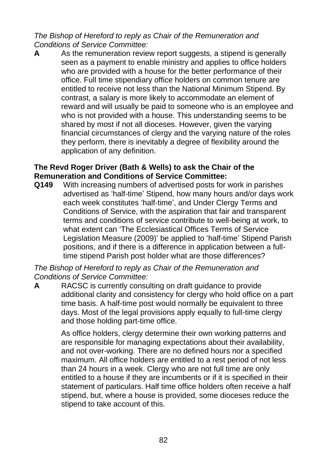*The Bishop of Hereford to reply as Chair of the Remuneration and Conditions of Service Committee:*

**A** As the remuneration review report suggests, a stipend is generally seen as a payment to enable ministry and applies to office holders who are provided with a house for the better performance of their office. Full time stipendiary office holders on common tenure are entitled to receive not less than the National Minimum Stipend. By contrast, a salary is more likely to accommodate an element of reward and will usually be paid to someone who is an employee and who is not provided with a house. This understanding seems to be shared by most if not all dioceses. However, given the varying financial circumstances of clergy and the varying nature of the roles they perform, there is inevitably a degree of flexibility around the application of any definition.

#### **The Revd Roger Driver (Bath & Wells) to ask the Chair of the Remuneration and Conditions of Service Committee:**

**Q149** With increasing numbers of advertised posts for work in parishes advertised as 'half-time' Stipend, how many hours and/or days work each week constitutes 'half-time', and Under Clergy Terms and Conditions of Service, with the aspiration that fair and transparent terms and conditions of service contribute to well-being at work, to what extent can 'The Ecclesiastical Offices Terms of Service Legislation Measure (2009)' be applied to 'half-time' Stipend Parish positions, and if there is a difference in application between a fulltime stipend Parish post holder what are those differences?

*The Bishop of Hereford to reply as Chair of the Remuneration and Conditions of Service Committee:*

**A** RACSC is currently consulting on draft guidance to provide additional clarity and consistency for clergy who hold office on a part time basis. A half-time post would normally be equivalent to three days. Most of the legal provisions apply equally to full-time clergy and those holding part-time office.

> As office holders, clergy determine their own working patterns and are responsible for managing expectations about their availability, and not over-working. There are no defined hours nor a specified maximum. All office holders are entitled to a rest period of not less than 24 hours in a week. Clergy who are not full time are only entitled to a house if they are incumbents or if it is specified in their statement of particulars. Half time office holders often receive a half stipend, but, where a house is provided, some dioceses reduce the stipend to take account of this.